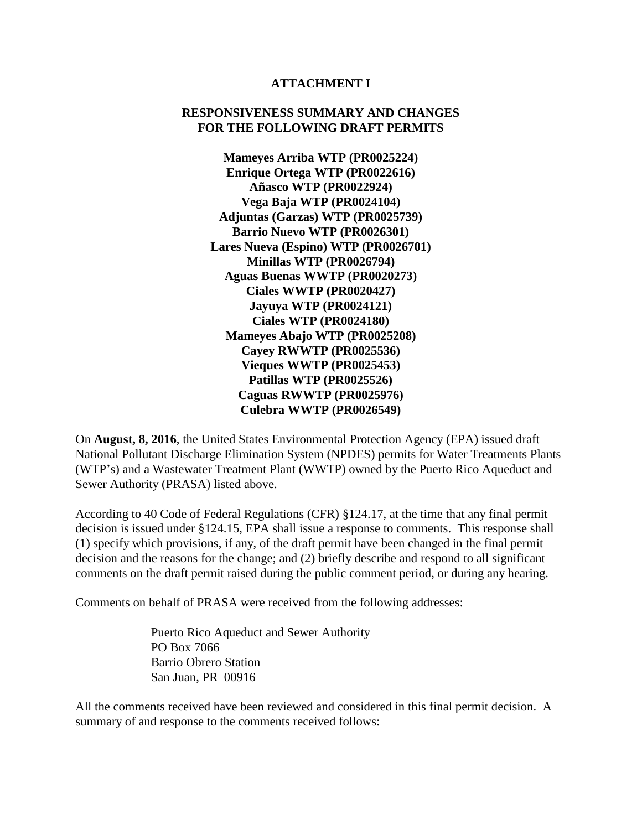#### **ATTACHMENT I**

### **RESPONSIVENESS SUMMARY AND CHANGES FOR THE FOLLOWING DRAFT PERMITS**

**Mameyes Arriba WTP (PR0025224) Enrique Ortega WTP (PR0022616) Añasco WTP (PR0022924) Vega Baja WTP (PR0024104) Adjuntas (Garzas) WTP (PR0025739) Barrio Nuevo WTP (PR0026301) Lares Nueva (Espino) WTP (PR0026701) Minillas WTP (PR0026794) Aguas Buenas WWTP (PR0020273) Ciales WWTP (PR0020427) Jayuya WTP (PR0024121) Ciales WTP (PR0024180) Mameyes Abajo WTP (PR0025208) Cayey RWWTP (PR0025536) Vieques WWTP (PR0025453) Patillas WTP (PR0025526) Caguas RWWTP (PR0025976) Culebra WWTP (PR0026549)**

On **August, 8, 2016**, the United States Environmental Protection Agency (EPA) issued draft National Pollutant Discharge Elimination System (NPDES) permits for Water Treatments Plants (WTP's) and a Wastewater Treatment Plant (WWTP) owned by the Puerto Rico Aqueduct and Sewer Authority (PRASA) listed above.

According to 40 Code of Federal Regulations (CFR) §124.17, at the time that any final permit decision is issued under §124.15, EPA shall issue a response to comments. This response shall (1) specify which provisions, if any, of the draft permit have been changed in the final permit decision and the reasons for the change; and (2) briefly describe and respond to all significant comments on the draft permit raised during the public comment period, or during any hearing.

Comments on behalf of PRASA were received from the following addresses:

Puerto Rico Aqueduct and Sewer Authority PO Box 7066 Barrio Obrero Station San Juan, PR 00916

All the comments received have been reviewed and considered in this final permit decision. A summary of and response to the comments received follows: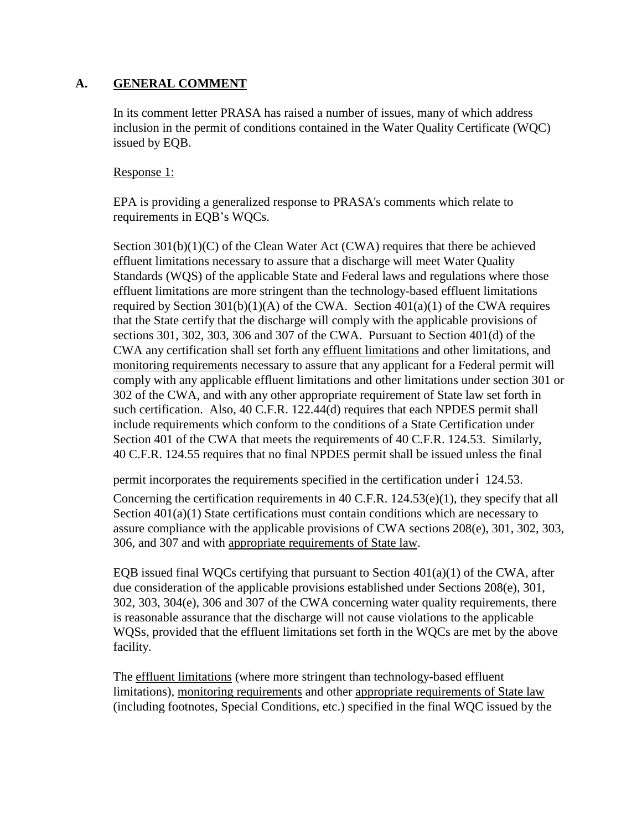## **A. GENERAL COMMENT**

In its comment letter PRASA has raised a number of issues, many of which address inclusion in the permit of conditions contained in the Water Quality Certificate (WQC) issued by EQB.

### Response 1:

EPA is providing a generalized response to PRASA's comments which relate to requirements in EQB's WQCs.

Section 301(b)(1)(C) of the Clean Water Act (CWA) requires that there be achieved effluent limitations necessary to assure that a discharge will meet Water Quality Standards (WQS) of the applicable State and Federal laws and regulations where those effluent limitations are more stringent than the technology-based effluent limitations required by Section  $301(b)(1)(A)$  of the CWA. Section  $401(a)(1)$  of the CWA requires that the State certify that the discharge will comply with the applicable provisions of sections 301, 302, 303, 306 and 307 of the CWA. Pursuant to Section 401(d) of the CWA any certification shall set forth any effluent limitations and other limitations, and monitoring requirements necessary to assure that any applicant for a Federal permit will comply with any applicable effluent limitations and other limitations under section 301 or 302 of the CWA, and with any other appropriate requirement of State law set forth in such certification. Also, 40 C.F.R. 122.44(d) requires that each NPDES permit shall include requirements which conform to the conditions of a State Certification under Section 401 of the CWA that meets the requirements of 40 C.F.R. 124.53. Similarly, 40 C.F.R. 124.55 requires that no final NPDES permit shall be issued unless the final

permit incorporates the requirements specified in the certification under ' 124.53.

Concerning the certification requirements in 40 C.F.R.  $124.53(e)(1)$ , they specify that all Section 401(a)(1) State certifications must contain conditions which are necessary to assure compliance with the applicable provisions of CWA sections 208(e), 301, 302, 303, 306, and 307 and with appropriate requirements of State law.

EQB issued final WQCs certifying that pursuant to Section 401(a)(1) of the CWA, after due consideration of the applicable provisions established under Sections 208(e), 301, 302, 303, 304(e), 306 and 307 of the CWA concerning water quality requirements, there is reasonable assurance that the discharge will not cause violations to the applicable WQSs, provided that the effluent limitations set forth in the WQCs are met by the above facility.

The effluent limitations (where more stringent than technology-based effluent limitations), monitoring requirements and other appropriate requirements of State law (including footnotes, Special Conditions, etc.) specified in the final WQC issued by the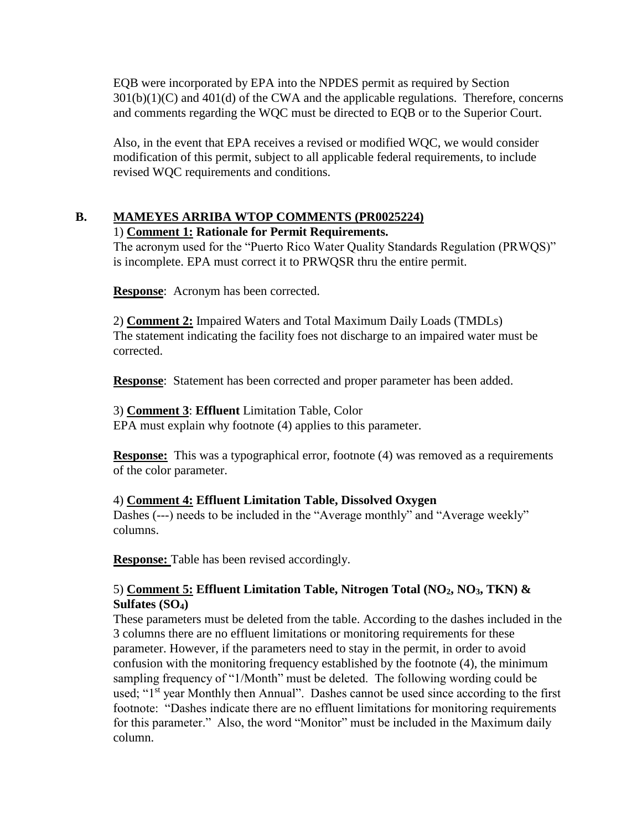EQB were incorporated by EPA into the NPDES permit as required by Section  $301(b)(1)(C)$  and  $401(d)$  of the CWA and the applicable regulations. Therefore, concerns and comments regarding the WQC must be directed to EQB or to the Superior Court.

Also, in the event that EPA receives a revised or modified WQC, we would consider modification of this permit, subject to all applicable federal requirements, to include revised WQC requirements and conditions.

# **B. MAMEYES ARRIBA WTOP COMMENTS (PR0025224)**

## 1) **Comment 1: Rationale for Permit Requirements.**

The acronym used for the "Puerto Rico Water Quality Standards Regulation (PRWQS)" is incomplete. EPA must correct it to PRWQSR thru the entire permit.

**Response**: Acronym has been corrected.

2) **Comment 2:** Impaired Waters and Total Maximum Daily Loads (TMDLs) The statement indicating the facility foes not discharge to an impaired water must be corrected.

**Response**: Statement has been corrected and proper parameter has been added.

## 3) **Comment 3**: **Effluent** Limitation Table, Color

EPA must explain why footnote (4) applies to this parameter.

**Response:** This was a typographical error, footnote (4) was removed as a requirements of the color parameter.

## 4) **Comment 4: Effluent Limitation Table, Dissolved Oxygen**

Dashes (---) needs to be included in the "Average monthly" and "Average weekly" columns.

**Response:** Table has been revised accordingly.

## 5) **Comment 5: Effluent Limitation Table, Nitrogen Total (NO2, NO3, TKN) & Sulfates (SO4)**

These parameters must be deleted from the table. According to the dashes included in the 3 columns there are no effluent limitations or monitoring requirements for these parameter. However, if the parameters need to stay in the permit, in order to avoid confusion with the monitoring frequency established by the footnote (4), the minimum sampling frequency of "1/Month" must be deleted. The following wording could be used; "1<sup>st</sup> year Monthly then Annual". Dashes cannot be used since according to the first footnote: "Dashes indicate there are no effluent limitations for monitoring requirements for this parameter." Also, the word "Monitor" must be included in the Maximum daily column.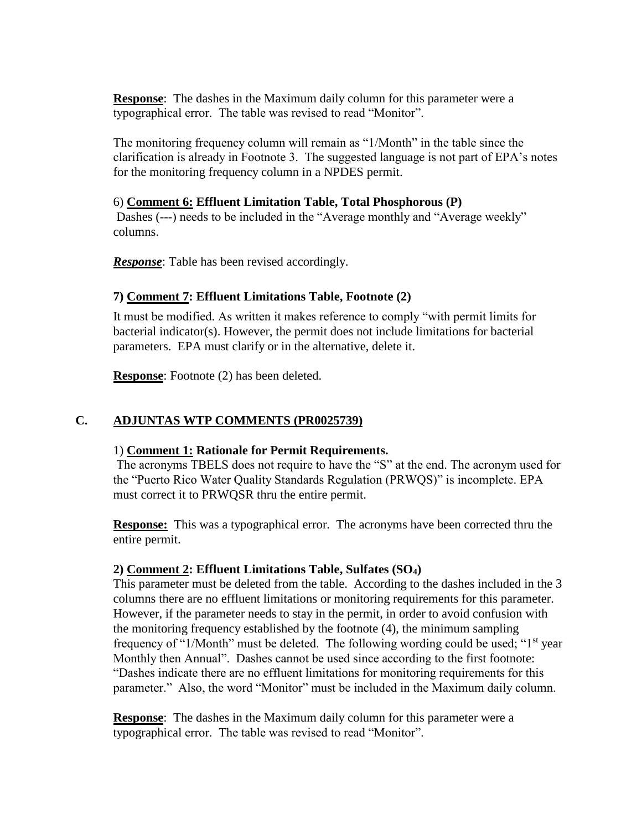**Response**: The dashes in the Maximum daily column for this parameter were a typographical error. The table was revised to read "Monitor".

The monitoring frequency column will remain as "1/Month" in the table since the clarification is already in Footnote 3. The suggested language is not part of EPA's notes for the monitoring frequency column in a NPDES permit.

### 6) **Comment 6: Effluent Limitation Table, Total Phosphorous (P)**

Dashes (---) needs to be included in the "Average monthly and "Average weekly" columns.

*Response*: Table has been revised accordingly.

## **7) Comment 7: Effluent Limitations Table, Footnote (2)**

It must be modified. As written it makes reference to comply "with permit limits for bacterial indicator(s). However, the permit does not include limitations for bacterial parameters. EPA must clarify or in the alternative, delete it.

**Response**: Footnote (2) has been deleted.

## **C. ADJUNTAS WTP COMMENTS (PR0025739)**

### 1) **Comment 1: Rationale for Permit Requirements.**

The acronyms TBELS does not require to have the "S" at the end. The acronym used for the "Puerto Rico Water Quality Standards Regulation (PRWQS)" is incomplete. EPA must correct it to PRWQSR thru the entire permit.

**Response:** This was a typographical error. The acronyms have been corrected thru the entire permit.

### **2) Comment 2: Effluent Limitations Table, Sulfates (SO4)**

This parameter must be deleted from the table. According to the dashes included in the 3 columns there are no effluent limitations or monitoring requirements for this parameter. However, if the parameter needs to stay in the permit, in order to avoid confusion with the monitoring frequency established by the footnote (4), the minimum sampling frequency of "1/Month" must be deleted. The following wording could be used; "1<sup>st</sup> year Monthly then Annual". Dashes cannot be used since according to the first footnote: "Dashes indicate there are no effluent limitations for monitoring requirements for this parameter." Also, the word "Monitor" must be included in the Maximum daily column.

**Response**: The dashes in the Maximum daily column for this parameter were a typographical error. The table was revised to read "Monitor".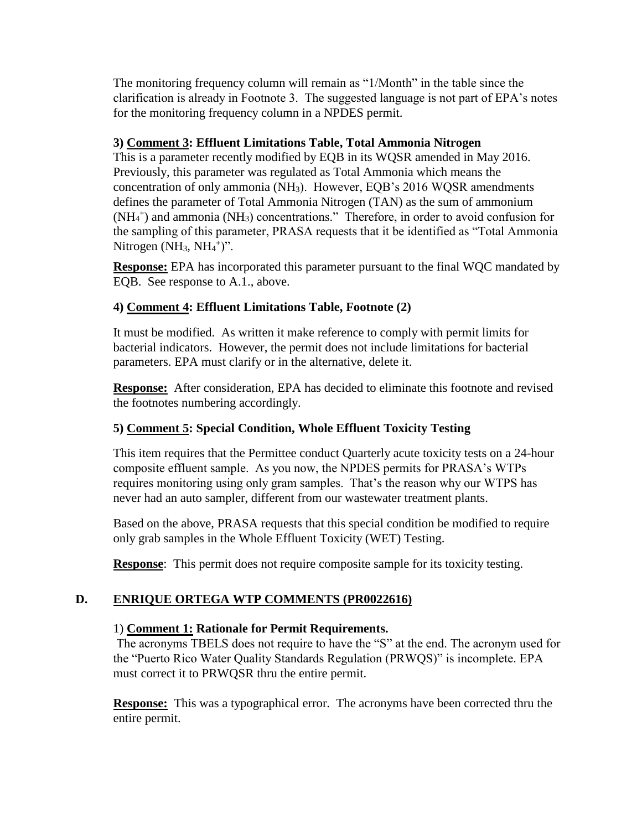The monitoring frequency column will remain as "1/Month" in the table since the clarification is already in Footnote 3. The suggested language is not part of EPA's notes for the monitoring frequency column in a NPDES permit.

## **3) Comment 3: Effluent Limitations Table, Total Ammonia Nitrogen**

This is a parameter recently modified by EQB in its WQSR amended in May 2016. Previously, this parameter was regulated as Total Ammonia which means the concentration of only ammonia (NH3). However, EQB's 2016 WQSR amendments defines the parameter of Total Ammonia Nitrogen (TAN) as the sum of ammonium  $(NH<sub>4</sub><sup>+</sup>)$  and ammonia  $(NH<sub>3</sub>)$  concentrations." Therefore, in order to avoid confusion for the sampling of this parameter, PRASA requests that it be identified as "Total Ammonia Nitrogen  $(NH_3, NH_4^+)$ ".

**Response:** EPA has incorporated this parameter pursuant to the final WQC mandated by EQB. See response to A.1., above.

## **4) Comment 4: Effluent Limitations Table, Footnote (2)**

It must be modified. As written it make reference to comply with permit limits for bacterial indicators. However, the permit does not include limitations for bacterial parameters. EPA must clarify or in the alternative, delete it.

**Response:** After consideration, EPA has decided to eliminate this footnote and revised the footnotes numbering accordingly.

## **5) Comment 5: Special Condition, Whole Effluent Toxicity Testing**

This item requires that the Permittee conduct Quarterly acute toxicity tests on a 24-hour composite effluent sample. As you now, the NPDES permits for PRASA's WTPs requires monitoring using only gram samples. That's the reason why our WTPS has never had an auto sampler, different from our wastewater treatment plants.

Based on the above, PRASA requests that this special condition be modified to require only grab samples in the Whole Effluent Toxicity (WET) Testing.

**Response:** This permit does not require composite sample for its toxicity testing.

## **D. ENRIQUE ORTEGA WTP COMMENTS (PR0022616)**

## 1) **Comment 1: Rationale for Permit Requirements.**

The acronyms TBELS does not require to have the "S" at the end. The acronym used for the "Puerto Rico Water Quality Standards Regulation (PRWQS)" is incomplete. EPA must correct it to PRWQSR thru the entire permit.

**Response:** This was a typographical error. The acronyms have been corrected thru the entire permit.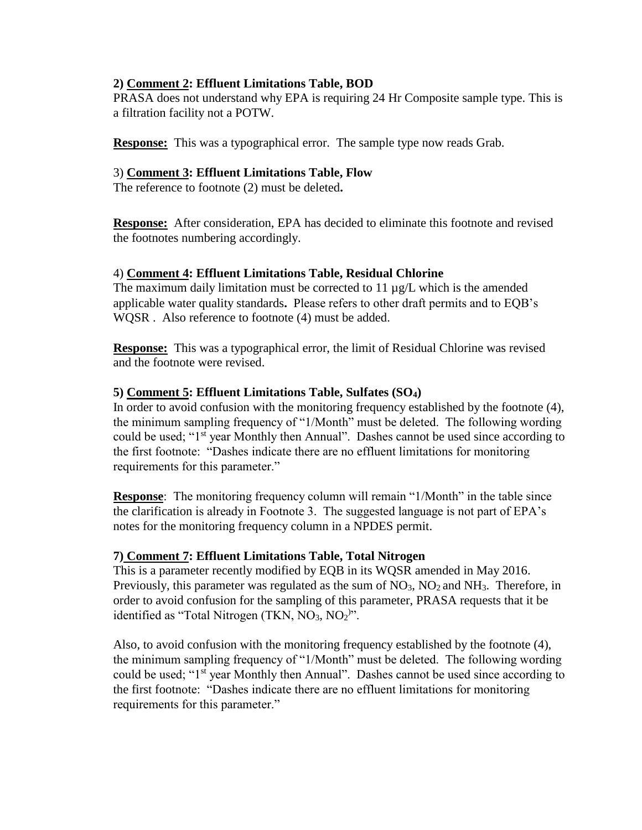### **2) Comment 2: Effluent Limitations Table, BOD**

PRASA does not understand why EPA is requiring 24 Hr Composite sample type. This is a filtration facility not a POTW.

**Response:** This was a typographical error. The sample type now reads Grab.

### 3) **Comment 3: Effluent Limitations Table, Flow**

The reference to footnote (2) must be deleted**.**

**Response:** After consideration, EPA has decided to eliminate this footnote and revised the footnotes numbering accordingly.

### 4) **Comment 4: Effluent Limitations Table, Residual Chlorine**

The maximum daily limitation must be corrected to 11 µg/L which is the amended applicable water quality standards**.** Please refers to other draft permits and to EQB's WQSR . Also reference to footnote (4) must be added.

**Response:** This was a typographical error, the limit of Residual Chlorine was revised and the footnote were revised.

### **5) Comment 5: Effluent Limitations Table, Sulfates (SO4)**

In order to avoid confusion with the monitoring frequency established by the footnote (4), the minimum sampling frequency of "1/Month" must be deleted. The following wording could be used; "1<sup>st</sup> year Monthly then Annual". Dashes cannot be used since according to the first footnote: "Dashes indicate there are no effluent limitations for monitoring requirements for this parameter."

**Response**: The monitoring frequency column will remain "1/Month" in the table since the clarification is already in Footnote 3. The suggested language is not part of EPA's notes for the monitoring frequency column in a NPDES permit.

## **7) Comment 7: Effluent Limitations Table, Total Nitrogen**

This is a parameter recently modified by EQB in its WQSR amended in May 2016. Previously, this parameter was regulated as the sum of  $NO<sub>3</sub>$ ,  $NO<sub>2</sub>$  and  $NH<sub>3</sub>$ . Therefore, in order to avoid confusion for the sampling of this parameter, PRASA requests that it be identified as "Total Nitrogen (TKN,  $NO<sub>3</sub>, NO<sub>2</sub>$ )".

Also, to avoid confusion with the monitoring frequency established by the footnote (4), the minimum sampling frequency of "1/Month" must be deleted. The following wording could be used; "1<sup>st</sup> year Monthly then Annual". Dashes cannot be used since according to the first footnote: "Dashes indicate there are no effluent limitations for monitoring requirements for this parameter."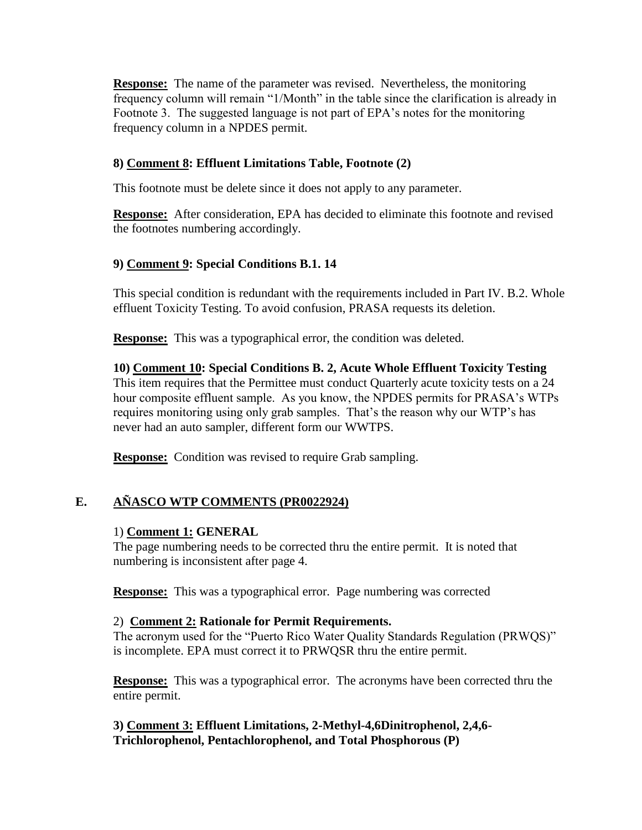**Response:** The name of the parameter was revised. Nevertheless, the monitoring frequency column will remain "1/Month" in the table since the clarification is already in Footnote 3. The suggested language is not part of EPA's notes for the monitoring frequency column in a NPDES permit.

## **8) Comment 8: Effluent Limitations Table, Footnote (2)**

This footnote must be delete since it does not apply to any parameter.

**Response:** After consideration, EPA has decided to eliminate this footnote and revised the footnotes numbering accordingly.

## **9) Comment 9: Special Conditions B.1. 14**

This special condition is redundant with the requirements included in Part IV. B.2. Whole effluent Toxicity Testing. To avoid confusion, PRASA requests its deletion.

**Response:** This was a typographical error, the condition was deleted.

**10) Comment 10: Special Conditions B. 2, Acute Whole Effluent Toxicity Testing** This item requires that the Permittee must conduct Quarterly acute toxicity tests on a 24 hour composite effluent sample. As you know, the NPDES permits for PRASA's WTPs requires monitoring using only grab samples. That's the reason why our WTP's has never had an auto sampler, different form our WWTPS.

**Response:** Condition was revised to require Grab sampling.

## **E. AÑASCO WTP COMMENTS (PR0022924)**

## 1) **Comment 1: GENERAL**

The page numbering needs to be corrected thru the entire permit. It is noted that numbering is inconsistent after page 4.

**Response:** This was a typographical error. Page numbering was corrected

### 2) **Comment 2: Rationale for Permit Requirements.**

The acronym used for the "Puerto Rico Water Quality Standards Regulation (PRWQS)" is incomplete. EPA must correct it to PRWQSR thru the entire permit.

**Response:** This was a typographical error. The acronyms have been corrected thru the entire permit.

**3) Comment 3: Effluent Limitations, 2-Methyl-4,6Dinitrophenol, 2,4,6- Trichlorophenol, Pentachlorophenol, and Total Phosphorous (P)**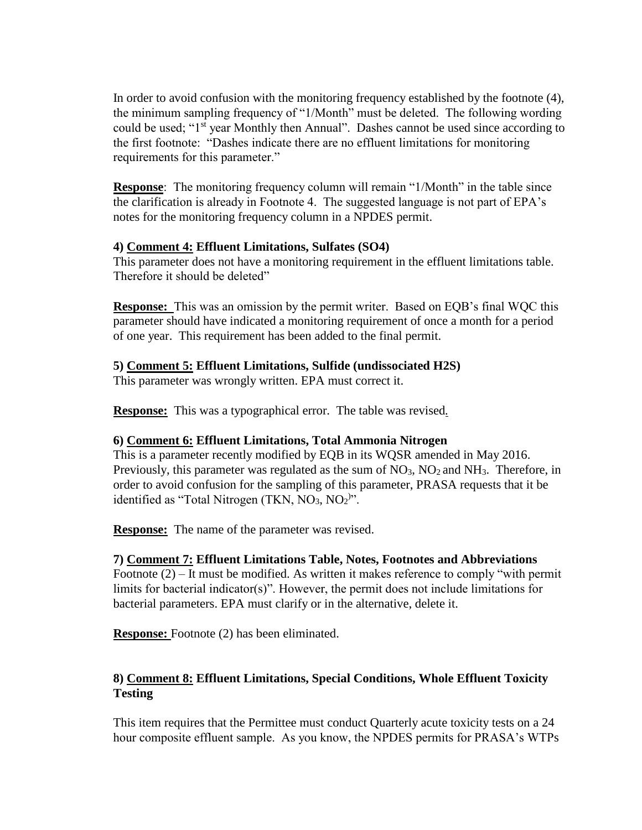In order to avoid confusion with the monitoring frequency established by the footnote (4), the minimum sampling frequency of "1/Month" must be deleted. The following wording could be used; "1<sup>st</sup> year Monthly then Annual". Dashes cannot be used since according to the first footnote: "Dashes indicate there are no effluent limitations for monitoring requirements for this parameter."

**Response**: The monitoring frequency column will remain "1/Month" in the table since the clarification is already in Footnote 4. The suggested language is not part of EPA's notes for the monitoring frequency column in a NPDES permit.

## **4) Comment 4: Effluent Limitations, Sulfates (SO4)**

This parameter does not have a monitoring requirement in the effluent limitations table. Therefore it should be deleted"

**Response:**This was an omission by the permit writer. Based on EQB's final WQC this parameter should have indicated a monitoring requirement of once a month for a period of one year. This requirement has been added to the final permit.

## **5) Comment 5: Effluent Limitations, Sulfide (undissociated H2S)**

This parameter was wrongly written. EPA must correct it.

**Response:**This was a typographical error. The table was revised*.*

## **6) Comment 6: Effluent Limitations, Total Ammonia Nitrogen**

This is a parameter recently modified by EQB in its WQSR amended in May 2016. Previously, this parameter was regulated as the sum of  $NO<sub>3</sub>$ ,  $NO<sub>2</sub>$  and  $NH<sub>3</sub>$ . Therefore, in order to avoid confusion for the sampling of this parameter, PRASA requests that it be identified as "Total Nitrogen (TKN,  $NO<sub>3</sub>$ ,  $NO<sub>2</sub>$ )".

**Response:** The name of the parameter was revised.

## **7) Comment 7: Effluent Limitations Table, Notes, Footnotes and Abbreviations**

Footnote (2) – It must be modified. As written it makes reference to comply "with permit limits for bacterial indicator(s)". However, the permit does not include limitations for bacterial parameters. EPA must clarify or in the alternative, delete it.

**Response:** Footnote (2) has been eliminated.

## **8) Comment 8: Effluent Limitations, Special Conditions, Whole Effluent Toxicity Testing**

This item requires that the Permittee must conduct Quarterly acute toxicity tests on a 24 hour composite effluent sample. As you know, the NPDES permits for PRASA's WTPs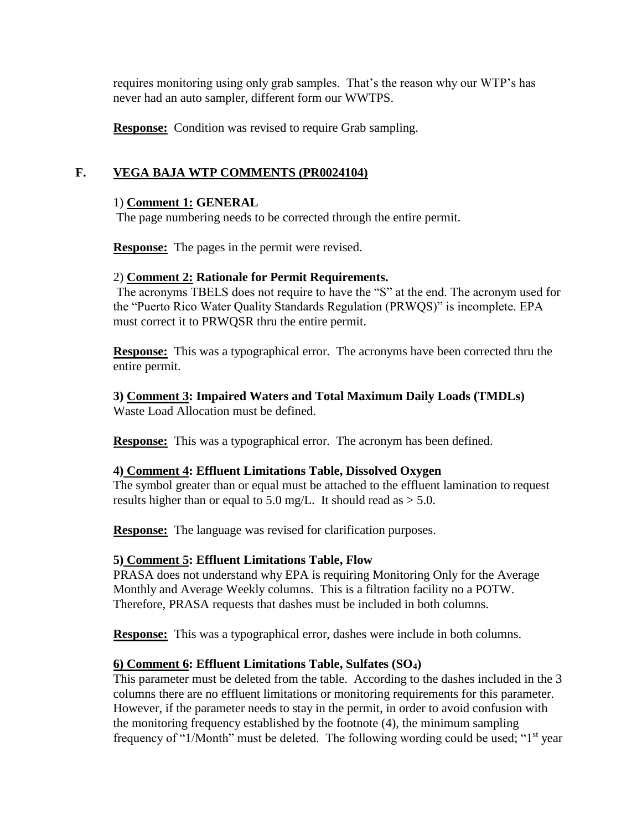requires monitoring using only grab samples. That's the reason why our WTP's has never had an auto sampler, different form our WWTPS.

**Response:** Condition was revised to require Grab sampling.

### **F. VEGA BAJA WTP COMMENTS (PR0024104)**

#### 1) **Comment 1: GENERAL**

The page numbering needs to be corrected through the entire permit.

**Response:** The pages in the permit were revised.

#### 2) **Comment 2: Rationale for Permit Requirements.**

The acronyms TBELS does not require to have the "S" at the end. The acronym used for the "Puerto Rico Water Quality Standards Regulation (PRWQS)" is incomplete. EPA must correct it to PRWQSR thru the entire permit.

**Response:** This was a typographical error. The acronyms have been corrected thru the entire permit.

#### **3) Comment 3: Impaired Waters and Total Maximum Daily Loads (TMDLs)** Waste Load Allocation must be defined.

**Response:** This was a typographical error. The acronym has been defined.

### **4) Comment 4: Effluent Limitations Table, Dissolved Oxygen**

The symbol greater than or equal must be attached to the effluent lamination to request results higher than or equal to 5.0 mg/L. It should read as  $> 5.0$ .

**Response:** The language was revised for clarification purposes.

### **5) Comment 5: Effluent Limitations Table, Flow**

PRASA does not understand why EPA is requiring Monitoring Only for the Average Monthly and Average Weekly columns. This is a filtration facility no a POTW. Therefore, PRASA requests that dashes must be included in both columns.

**Response:** This was a typographical error, dashes were include in both columns.

### **6) Comment 6: Effluent Limitations Table, Sulfates (SO4)**

This parameter must be deleted from the table. According to the dashes included in the 3 columns there are no effluent limitations or monitoring requirements for this parameter. However, if the parameter needs to stay in the permit, in order to avoid confusion with the monitoring frequency established by the footnote (4), the minimum sampling frequency of "1/Month" must be deleted. The following wording could be used; "1st year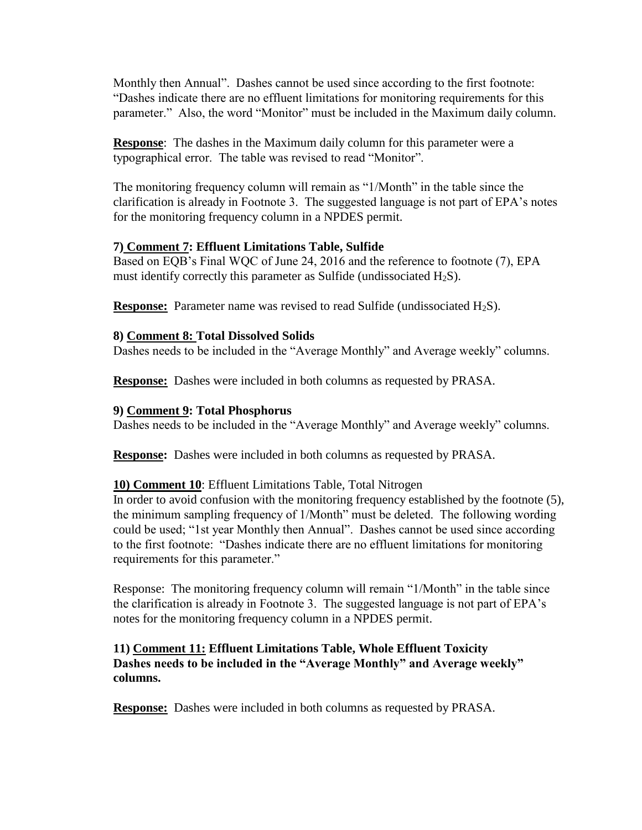Monthly then Annual". Dashes cannot be used since according to the first footnote: "Dashes indicate there are no effluent limitations for monitoring requirements for this parameter." Also, the word "Monitor" must be included in the Maximum daily column.

**Response**: The dashes in the Maximum daily column for this parameter were a typographical error. The table was revised to read "Monitor".

The monitoring frequency column will remain as "1/Month" in the table since the clarification is already in Footnote 3. The suggested language is not part of EPA's notes for the monitoring frequency column in a NPDES permit.

### **7) Comment 7: Effluent Limitations Table, Sulfide**

Based on EQB's Final WQC of June 24, 2016 and the reference to footnote (7), EPA must identify correctly this parameter as Sulfide (undissociated  $H_2S$ ).

**Response:** Parameter name was revised to read Sulfide (undissociated H<sub>2</sub>S).

### **8) Comment 8: Total Dissolved Solids**

Dashes needs to be included in the "Average Monthly" and Average weekly" columns.

**Response:** Dashes were included in both columns as requested by PRASA.

### **9) Comment 9: Total Phosphorus**

Dashes needs to be included in the "Average Monthly" and Average weekly" columns.

**Response:** Dashes were included in both columns as requested by PRASA.

## **10) Comment 10**: Effluent Limitations Table, Total Nitrogen

In order to avoid confusion with the monitoring frequency established by the footnote (5), the minimum sampling frequency of 1/Month" must be deleted. The following wording could be used; "1st year Monthly then Annual". Dashes cannot be used since according to the first footnote: "Dashes indicate there are no effluent limitations for monitoring requirements for this parameter."

Response: The monitoring frequency column will remain "1/Month" in the table since the clarification is already in Footnote 3. The suggested language is not part of EPA's notes for the monitoring frequency column in a NPDES permit.

## **11) Comment 11: Effluent Limitations Table, Whole Effluent Toxicity Dashes needs to be included in the "Average Monthly" and Average weekly" columns.**

**Response:** Dashes were included in both columns as requested by PRASA.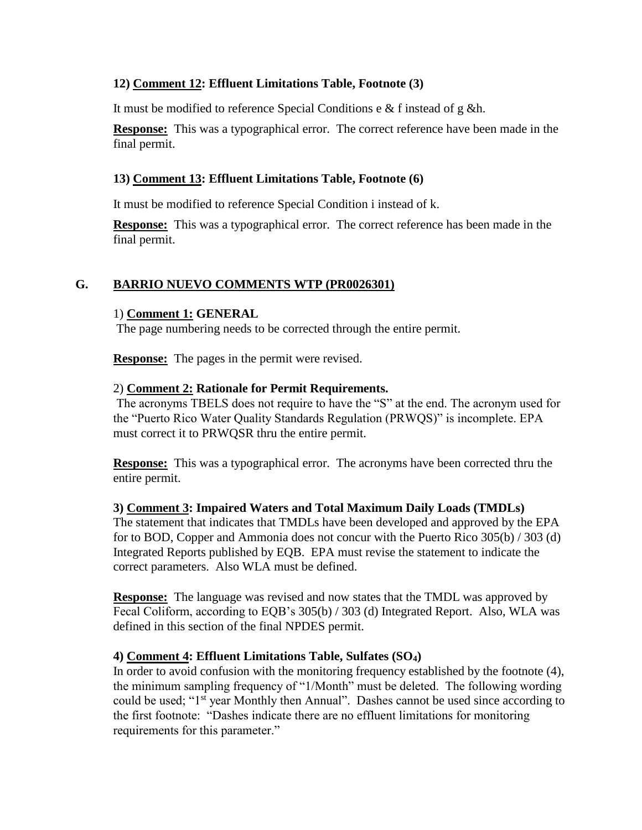## **12) Comment 12: Effluent Limitations Table, Footnote (3)**

It must be modified to reference Special Conditions e & f instead of g &h.

**Response:** This was a typographical error. The correct reference have been made in the final permit.

### **13) Comment 13: Effluent Limitations Table, Footnote (6)**

It must be modified to reference Special Condition i instead of k.

**Response:** This was a typographical error. The correct reference has been made in the final permit.

### **G. BARRIO NUEVO COMMENTS WTP (PR0026301)**

### 1) **Comment 1: GENERAL**

The page numbering needs to be corrected through the entire permit.

**Response:** The pages in the permit were revised.

### 2) **Comment 2: Rationale for Permit Requirements.**

The acronyms TBELS does not require to have the "S" at the end. The acronym used for the "Puerto Rico Water Quality Standards Regulation (PRWQS)" is incomplete. EPA must correct it to PRWQSR thru the entire permit.

**Response:** This was a typographical error. The acronyms have been corrected thru the entire permit.

### **3) Comment 3: Impaired Waters and Total Maximum Daily Loads (TMDLs)**

The statement that indicates that TMDLs have been developed and approved by the EPA for to BOD, Copper and Ammonia does not concur with the Puerto Rico 305(b) / 303 (d) Integrated Reports published by EQB. EPA must revise the statement to indicate the correct parameters. Also WLA must be defined.

**Response:** The language was revised and now states that the TMDL was approved by Fecal Coliform, according to EQB's 305(b) / 303 (d) Integrated Report. Also, WLA was defined in this section of the final NPDES permit.

### **4) Comment 4: Effluent Limitations Table, Sulfates (SO4)**

In order to avoid confusion with the monitoring frequency established by the footnote (4), the minimum sampling frequency of "1/Month" must be deleted. The following wording could be used; "1<sup>st</sup> year Monthly then Annual". Dashes cannot be used since according to the first footnote: "Dashes indicate there are no effluent limitations for monitoring requirements for this parameter."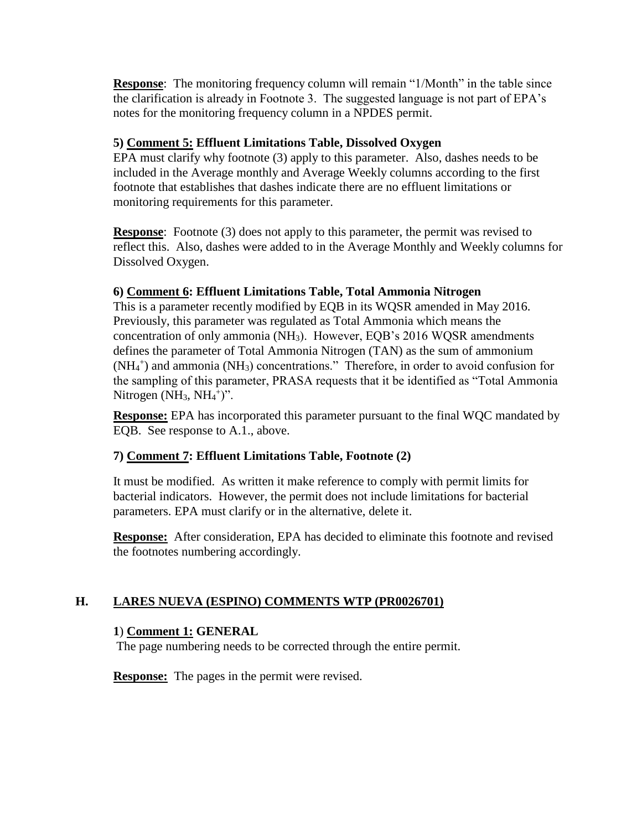**Response:** The monitoring frequency column will remain "1/Month" in the table since the clarification is already in Footnote 3. The suggested language is not part of EPA's notes for the monitoring frequency column in a NPDES permit.

### **5) Comment 5: Effluent Limitations Table, Dissolved Oxygen**

EPA must clarify why footnote (3) apply to this parameter. Also, dashes needs to be included in the Average monthly and Average Weekly columns according to the first footnote that establishes that dashes indicate there are no effluent limitations or monitoring requirements for this parameter.

**Response**: Footnote (3) does not apply to this parameter, the permit was revised to reflect this. Also, dashes were added to in the Average Monthly and Weekly columns for Dissolved Oxygen.

### **6) Comment 6: Effluent Limitations Table, Total Ammonia Nitrogen**

This is a parameter recently modified by EQB in its WQSR amended in May 2016. Previously, this parameter was regulated as Total Ammonia which means the concentration of only ammonia (NH3). However, EQB's 2016 WQSR amendments defines the parameter of Total Ammonia Nitrogen (TAN) as the sum of ammonium (NH<sub>4</sub><sup>+</sup>) and ammonia (NH<sub>3</sub>) concentrations." Therefore, in order to avoid confusion for the sampling of this parameter, PRASA requests that it be identified as "Total Ammonia Nitrogen  $(NH_3, NH_4^+)$ ".

**Response:** EPA has incorporated this parameter pursuant to the final WQC mandated by EQB. See response to A.1., above.

## **7) Comment 7: Effluent Limitations Table, Footnote (2)**

It must be modified. As written it make reference to comply with permit limits for bacterial indicators. However, the permit does not include limitations for bacterial parameters. EPA must clarify or in the alternative, delete it.

**Response:** After consideration, EPA has decided to eliminate this footnote and revised the footnotes numbering accordingly.

## **H. LARES NUEVA (ESPINO) COMMENTS WTP (PR0026701)**

### **1**) **Comment 1: GENERAL**

The page numbering needs to be corrected through the entire permit.

**Response:** The pages in the permit were revised.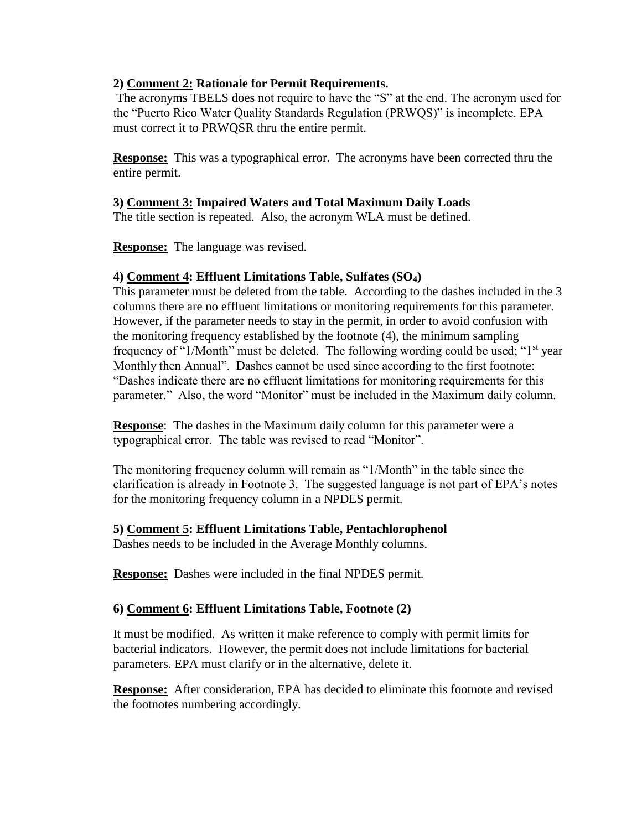### **2) Comment 2: Rationale for Permit Requirements.**

The acronyms TBELS does not require to have the "S" at the end. The acronym used for the "Puerto Rico Water Quality Standards Regulation (PRWQS)" is incomplete. EPA must correct it to PRWQSR thru the entire permit.

**Response:** This was a typographical error. The acronyms have been corrected thru the entire permit.

### **3) Comment 3: Impaired Waters and Total Maximum Daily Loads**

The title section is repeated. Also, the acronym WLA must be defined.

**Response:** The language was revised.

### **4) Comment 4: Effluent Limitations Table, Sulfates (SO4)**

This parameter must be deleted from the table. According to the dashes included in the 3 columns there are no effluent limitations or monitoring requirements for this parameter. However, if the parameter needs to stay in the permit, in order to avoid confusion with the monitoring frequency established by the footnote (4), the minimum sampling frequency of "1/Month" must be deleted. The following wording could be used; "1<sup>st</sup> year Monthly then Annual". Dashes cannot be used since according to the first footnote: "Dashes indicate there are no effluent limitations for monitoring requirements for this parameter." Also, the word "Monitor" must be included in the Maximum daily column.

**Response**: The dashes in the Maximum daily column for this parameter were a typographical error. The table was revised to read "Monitor".

The monitoring frequency column will remain as "1/Month" in the table since the clarification is already in Footnote 3. The suggested language is not part of EPA's notes for the monitoring frequency column in a NPDES permit.

### **5) Comment 5: Effluent Limitations Table, Pentachlorophenol**

Dashes needs to be included in the Average Monthly columns.

**Response:** Dashes were included in the final NPDES permit.

## **6) Comment 6: Effluent Limitations Table, Footnote (2)**

It must be modified. As written it make reference to comply with permit limits for bacterial indicators. However, the permit does not include limitations for bacterial parameters. EPA must clarify or in the alternative, delete it.

**Response:** After consideration, EPA has decided to eliminate this footnote and revised the footnotes numbering accordingly.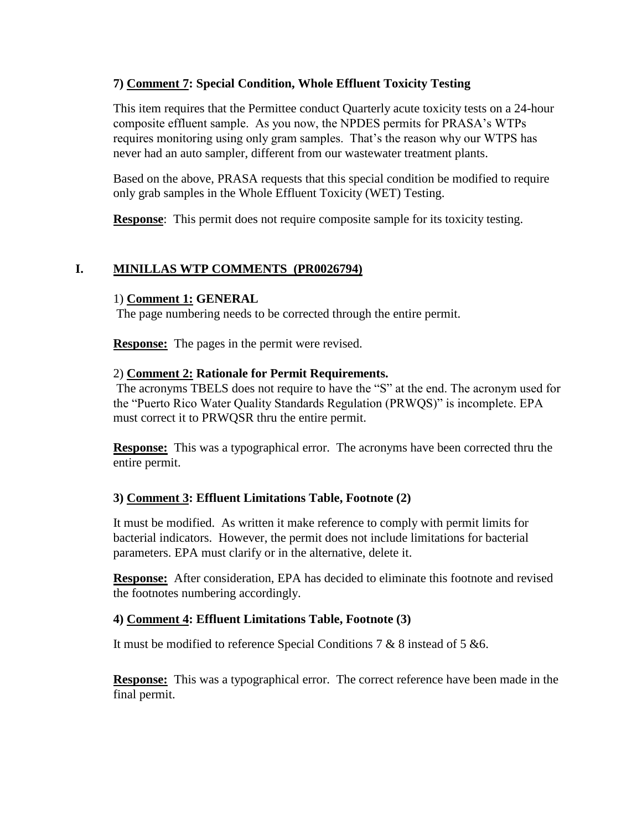## **7) Comment 7: Special Condition, Whole Effluent Toxicity Testing**

This item requires that the Permittee conduct Quarterly acute toxicity tests on a 24-hour composite effluent sample. As you now, the NPDES permits for PRASA's WTPs requires monitoring using only gram samples. That's the reason why our WTPS has never had an auto sampler, different from our wastewater treatment plants.

Based on the above, PRASA requests that this special condition be modified to require only grab samples in the Whole Effluent Toxicity (WET) Testing.

**Response**: This permit does not require composite sample for its toxicity testing.

## **I. MINILLAS WTP COMMENTS (PR0026794)**

### 1) **Comment 1: GENERAL**

The page numbering needs to be corrected through the entire permit.

**Response:** The pages in the permit were revised.

#### 2) **Comment 2: Rationale for Permit Requirements.**

The acronyms TBELS does not require to have the "S" at the end. The acronym used for the "Puerto Rico Water Quality Standards Regulation (PRWQS)" is incomplete. EPA must correct it to PRWQSR thru the entire permit.

**Response:** This was a typographical error. The acronyms have been corrected thru the entire permit.

### **3) Comment 3: Effluent Limitations Table, Footnote (2)**

It must be modified. As written it make reference to comply with permit limits for bacterial indicators. However, the permit does not include limitations for bacterial parameters. EPA must clarify or in the alternative, delete it.

**Response:** After consideration, EPA has decided to eliminate this footnote and revised the footnotes numbering accordingly.

### **4) Comment 4: Effluent Limitations Table, Footnote (3)**

It must be modified to reference Special Conditions 7 & 8 instead of 5 &6.

**Response:** This was a typographical error. The correct reference have been made in the final permit.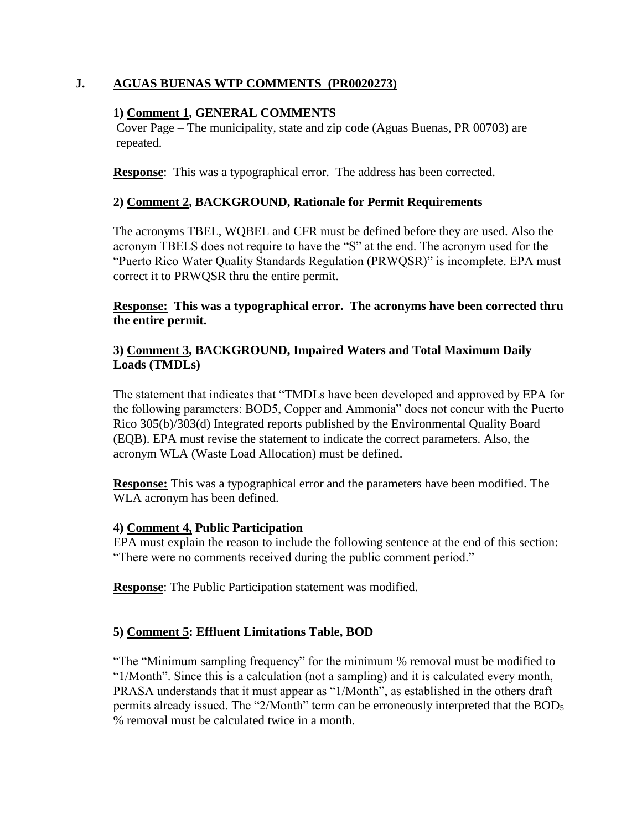## **J. AGUAS BUENAS WTP COMMENTS (PR0020273)**

### **1) Comment 1, GENERAL COMMENTS**

Cover Page – The municipality, state and zip code (Aguas Buenas, PR 00703) are repeated.

**Response**: This was a typographical error. The address has been corrected.

## **2) Comment 2, BACKGROUND, Rationale for Permit Requirements**

The acronyms TBEL, WQBEL and CFR must be defined before they are used. Also the acronym TBELS does not require to have the "S" at the end. The acronym used for the "Puerto Rico Water Quality Standards Regulation (PRWQSR)" is incomplete. EPA must correct it to PRWQSR thru the entire permit.

**Response: This was a typographical error. The acronyms have been corrected thru the entire permit.**

### **3) Comment 3, BACKGROUND, Impaired Waters and Total Maximum Daily Loads (TMDLs)**

The statement that indicates that "TMDLs have been developed and approved by EPA for the following parameters: BOD5, Copper and Ammonia" does not concur with the Puerto Rico 305(b)/303(d) Integrated reports published by the Environmental Quality Board (EQB). EPA must revise the statement to indicate the correct parameters. Also, the acronym WLA (Waste Load Allocation) must be defined.

**Response:** This was a typographical error and the parameters have been modified. The WLA acronym has been defined.

### **4) Comment 4, Public Participation**

EPA must explain the reason to include the following sentence at the end of this section: "There were no comments received during the public comment period."

**Response**: The Public Participation statement was modified.

## **5) Comment 5: Effluent Limitations Table, BOD**

"The "Minimum sampling frequency" for the minimum % removal must be modified to "1/Month". Since this is a calculation (not a sampling) and it is calculated every month, PRASA understands that it must appear as "1/Month", as established in the others draft permits already issued. The "2/Month" term can be erroneously interpreted that the BOD<sub>5</sub> % removal must be calculated twice in a month.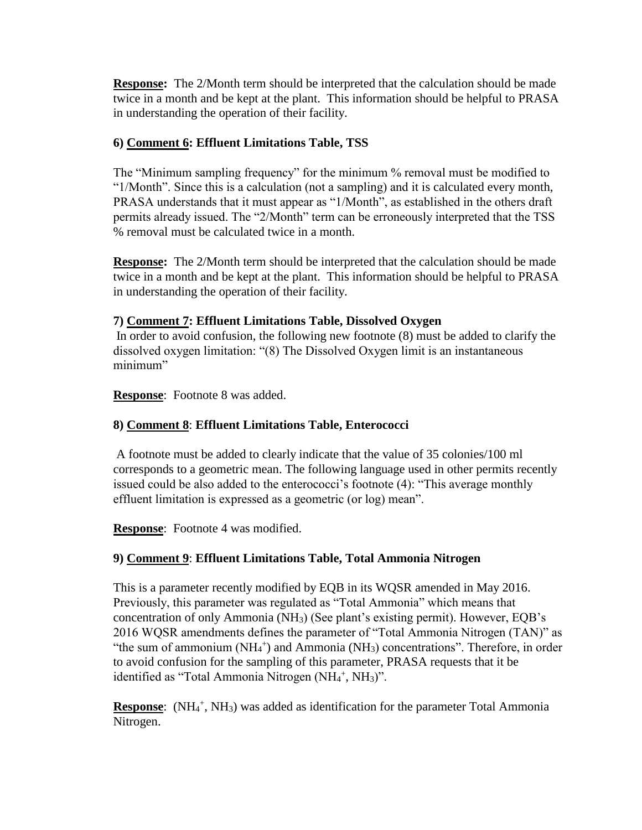**Response:** The 2/Month term should be interpreted that the calculation should be made twice in a month and be kept at the plant. This information should be helpful to PRASA in understanding the operation of their facility.

## **6) Comment 6: Effluent Limitations Table, TSS**

The "Minimum sampling frequency" for the minimum % removal must be modified to "1/Month". Since this is a calculation (not a sampling) and it is calculated every month, PRASA understands that it must appear as "1/Month", as established in the others draft permits already issued. The "2/Month" term can be erroneously interpreted that the TSS % removal must be calculated twice in a month.

**Response:** The 2/Month term should be interpreted that the calculation should be made twice in a month and be kept at the plant. This information should be helpful to PRASA in understanding the operation of their facility.

## **7) Comment 7: Effluent Limitations Table, Dissolved Oxygen**

In order to avoid confusion, the following new footnote (8) must be added to clarify the dissolved oxygen limitation: "(8) The Dissolved Oxygen limit is an instantaneous minimum"

**Response**: Footnote 8 was added.

## **8) Comment 8**: **Effluent Limitations Table, Enterococci**

A footnote must be added to clearly indicate that the value of 35 colonies/100 ml corresponds to a geometric mean. The following language used in other permits recently issued could be also added to the enterococci's footnote (4): "This average monthly effluent limitation is expressed as a geometric (or log) mean".

**Response**: Footnote 4 was modified.

## **9) Comment 9**: **Effluent Limitations Table, Total Ammonia Nitrogen**

This is a parameter recently modified by EQB in its WQSR amended in May 2016. Previously, this parameter was regulated as "Total Ammonia" which means that concentration of only Ammonia (NH3) (See plant's existing permit). However, EQB's 2016 WQSR amendments defines the parameter of "Total Ammonia Nitrogen (TAN)" as "the sum of ammonium  $(NH_4^+)$  and Ammonia  $(NH_3)$  concentrations". Therefore, in order to avoid confusion for the sampling of this parameter, PRASA requests that it be identified as "Total Ammonia Nitrogen (NH<sub>4</sub><sup>+</sup>, NH<sub>3</sub>)".

**Response:** (NH<sub>4</sub><sup>+</sup>, NH<sub>3</sub>) was added as identification for the parameter Total Ammonia Nitrogen.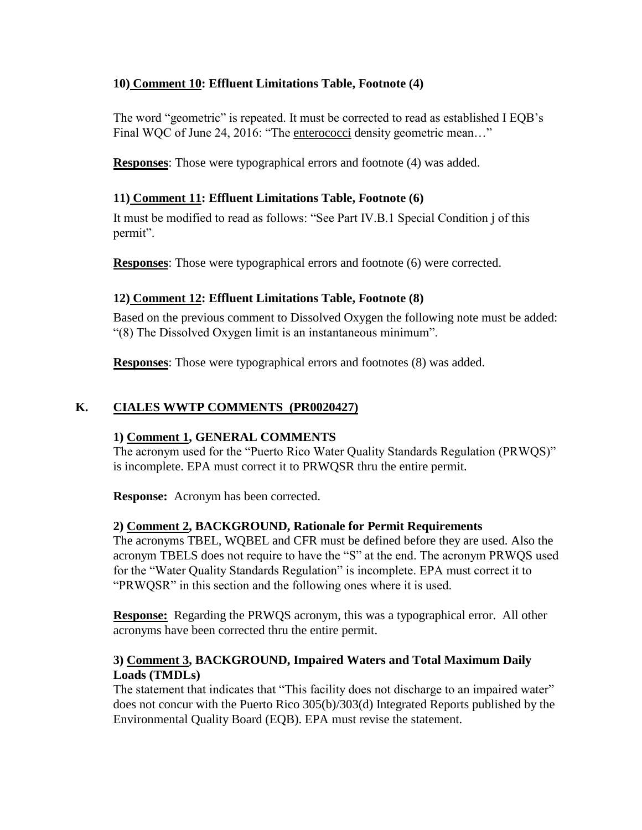## **10) Comment 10: Effluent Limitations Table, Footnote (4)**

The word "geometric" is repeated. It must be corrected to read as established I EQB's Final WQC of June 24, 2016: "The enterococci density geometric mean..."

**Responses**: Those were typographical errors and footnote (4) was added.

## **11) Comment 11: Effluent Limitations Table, Footnote (6)**

It must be modified to read as follows: "See Part IV.B.1 Special Condition j of this permit".

**Responses**: Those were typographical errors and footnote (6) were corrected.

## **12) Comment 12: Effluent Limitations Table, Footnote (8)**

Based on the previous comment to Dissolved Oxygen the following note must be added: "(8) The Dissolved Oxygen limit is an instantaneous minimum".

**Responses**: Those were typographical errors and footnotes (8) was added.

## **K. CIALES WWTP COMMENTS (PR0020427)**

## **1) Comment 1, GENERAL COMMENTS**

The acronym used for the "Puerto Rico Water Quality Standards Regulation (PRWQS)" is incomplete. EPA must correct it to PRWQSR thru the entire permit.

**Response:** Acronym has been corrected.

## **2) Comment 2, BACKGROUND, Rationale for Permit Requirements**

The acronyms TBEL, WQBEL and CFR must be defined before they are used. Also the acronym TBELS does not require to have the "S" at the end. The acronym PRWQS used for the "Water Quality Standards Regulation" is incomplete. EPA must correct it to "PRWQSR" in this section and the following ones where it is used.

**Response:** Regarding the PRWQS acronym, this was a typographical error. All other acronyms have been corrected thru the entire permit.

## **3) Comment 3, BACKGROUND, Impaired Waters and Total Maximum Daily Loads (TMDLs)**

The statement that indicates that "This facility does not discharge to an impaired water" does not concur with the Puerto Rico 305(b)/303(d) Integrated Reports published by the Environmental Quality Board (EQB). EPA must revise the statement.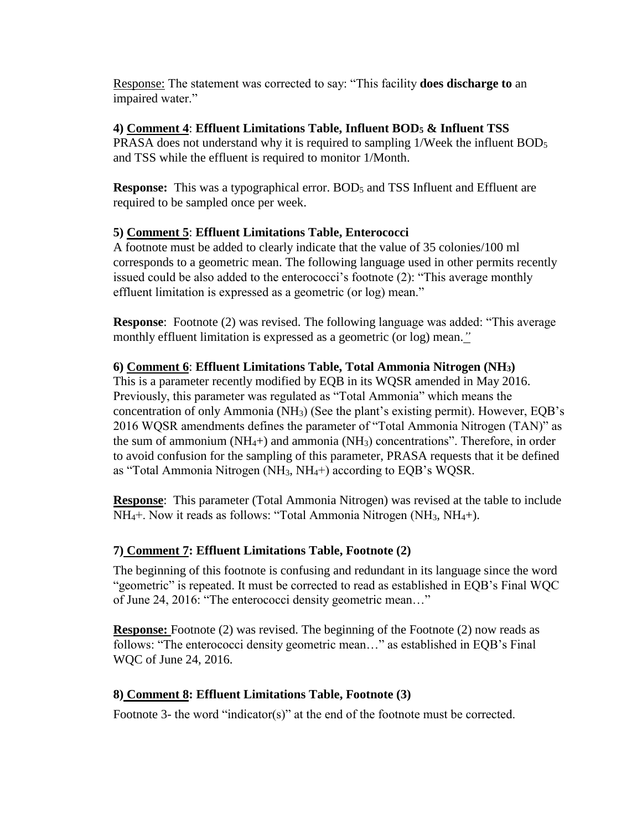Response: The statement was corrected to say: "This facility **does discharge to** an impaired water."

## **4) Comment 4**: **Effluent Limitations Table, Influent BOD<sup>5</sup> & Influent TSS**

PRASA does not understand why it is required to sampling 1/Week the influent BOD<sup>5</sup> and TSS while the effluent is required to monitor 1/Month.

**Response:** This was a typographical error. BOD<sub>5</sub> and TSS Influent and Effluent are required to be sampled once per week.

## **5) Comment 5**: **Effluent Limitations Table, Enterococci**

A footnote must be added to clearly indicate that the value of 35 colonies/100 ml corresponds to a geometric mean. The following language used in other permits recently issued could be also added to the enterococci's footnote (2): "This average monthly effluent limitation is expressed as a geometric (or log) mean."

**Response:** Footnote (2) was revised. The following language was added: "This average monthly effluent limitation is expressed as a geometric (or log) mean.*"*

## **6) Comment 6**: **Effluent Limitations Table, Total Ammonia Nitrogen (NH3)**

This is a parameter recently modified by EQB in its WQSR amended in May 2016. Previously, this parameter was regulated as "Total Ammonia" which means the concentration of only Ammonia (NH3) (See the plant's existing permit). However, EQB's 2016 WQSR amendments defines the parameter of "Total Ammonia Nitrogen (TAN)" as the sum of ammonium  $(NH_4+)$  and ammonia  $(NH_3)$  concentrations". Therefore, in order to avoid confusion for the sampling of this parameter, PRASA requests that it be defined as "Total Ammonia Nitrogen (NH3, NH4+) according to EQB's WQSR.

**Response**: This parameter (Total Ammonia Nitrogen) was revised at the table to include NH<sub>4</sub>+. Now it reads as follows: "Total Ammonia Nitrogen (NH<sub>3</sub>, NH<sub>4</sub>+).

## **7) Comment 7: Effluent Limitations Table, Footnote (2)**

The beginning of this footnote is confusing and redundant in its language since the word "geometric" is repeated. It must be corrected to read as established in EQB's Final WQC of June 24, 2016: "The enterococci density geometric mean…"

**Response:** Footnote (2) was revised. The beginning of the Footnote (2) now reads as follows: "The enterococci density geometric mean…" as established in EQB's Final WQC of June 24, 2016.

## **8) Comment 8: Effluent Limitations Table, Footnote (3)**

Footnote 3- the word "indicator(s)" at the end of the footnote must be corrected.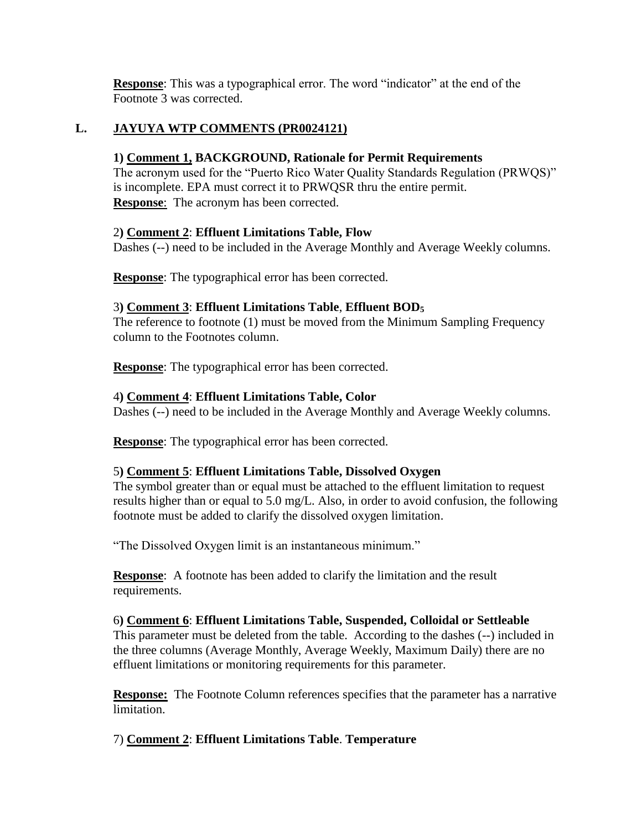**Response**: This was a typographical error. The word "indicator" at the end of the Footnote 3 was corrected.

## **L. JAYUYA WTP COMMENTS (PR0024121)**

## **1) Comment 1, BACKGROUND, Rationale for Permit Requirements**

The acronym used for the "Puerto Rico Water Quality Standards Regulation (PRWQS)" is incomplete. EPA must correct it to PRWQSR thru the entire permit. **Response**: The acronym has been corrected.

## 2**) Comment 2**: **Effluent Limitations Table, Flow**

Dashes (--) need to be included in the Average Monthly and Average Weekly columns.

**Response**: The typographical error has been corrected.

## 3**) Comment 3**: **Effluent Limitations Table**, **Effluent BOD<sup>5</sup>**

The reference to footnote (1) must be moved from the Minimum Sampling Frequency column to the Footnotes column.

**Response**: The typographical error has been corrected.

## 4**) Comment 4**: **Effluent Limitations Table, Color**

Dashes (--) need to be included in the Average Monthly and Average Weekly columns.

**Response**: The typographical error has been corrected.

## 5**) Comment 5**: **Effluent Limitations Table, Dissolved Oxygen**

The symbol greater than or equal must be attached to the effluent limitation to request results higher than or equal to 5.0 mg/L. Also, in order to avoid confusion, the following footnote must be added to clarify the dissolved oxygen limitation.

"The Dissolved Oxygen limit is an instantaneous minimum."

**Response**: A footnote has been added to clarify the limitation and the result requirements.

## 6**) Comment 6**: **Effluent Limitations Table, Suspended, Colloidal or Settleable**

This parameter must be deleted from the table. According to the dashes (--) included in the three columns (Average Monthly, Average Weekly, Maximum Daily) there are no effluent limitations or monitoring requirements for this parameter.

**Response:** The Footnote Column references specifies that the parameter has a narrative limitation.

## 7) **Comment 2**: **Effluent Limitations Table**. **Temperature**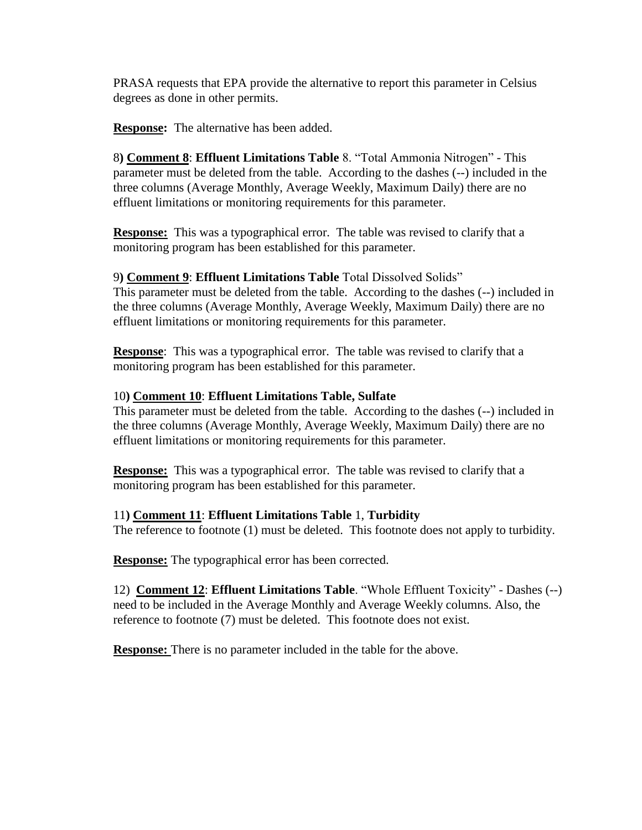PRASA requests that EPA provide the alternative to report this parameter in Celsius degrees as done in other permits.

**Response:** The alternative has been added.

8**) Comment 8**: **Effluent Limitations Table** 8. "Total Ammonia Nitrogen" - This parameter must be deleted from the table. According to the dashes (--) included in the three columns (Average Monthly, Average Weekly, Maximum Daily) there are no effluent limitations or monitoring requirements for this parameter.

**Response:** This was a typographical error. The table was revised to clarify that a monitoring program has been established for this parameter.

## 9**) Comment 9**: **Effluent Limitations Table** Total Dissolved Solids"

This parameter must be deleted from the table. According to the dashes (--) included in the three columns (Average Monthly, Average Weekly, Maximum Daily) there are no effluent limitations or monitoring requirements for this parameter.

**Response**: This was a typographical error. The table was revised to clarify that a monitoring program has been established for this parameter.

### 10**) Comment 10**: **Effluent Limitations Table, Sulfate**

This parameter must be deleted from the table. According to the dashes (--) included in the three columns (Average Monthly, Average Weekly, Maximum Daily) there are no effluent limitations or monitoring requirements for this parameter.

**Response:** This was a typographical error. The table was revised to clarify that a monitoring program has been established for this parameter.

### 11**) Comment 11**: **Effluent Limitations Table** 1, **Turbidity**

The reference to footnote (1) must be deleted. This footnote does not apply to turbidity.

**Response:** The typographical error has been corrected.

12) **Comment 12**: **Effluent Limitations Table**. "Whole Effluent Toxicity" - Dashes (--) need to be included in the Average Monthly and Average Weekly columns. Also, the reference to footnote (7) must be deleted. This footnote does not exist.

**Response:** There is no parameter included in the table for the above.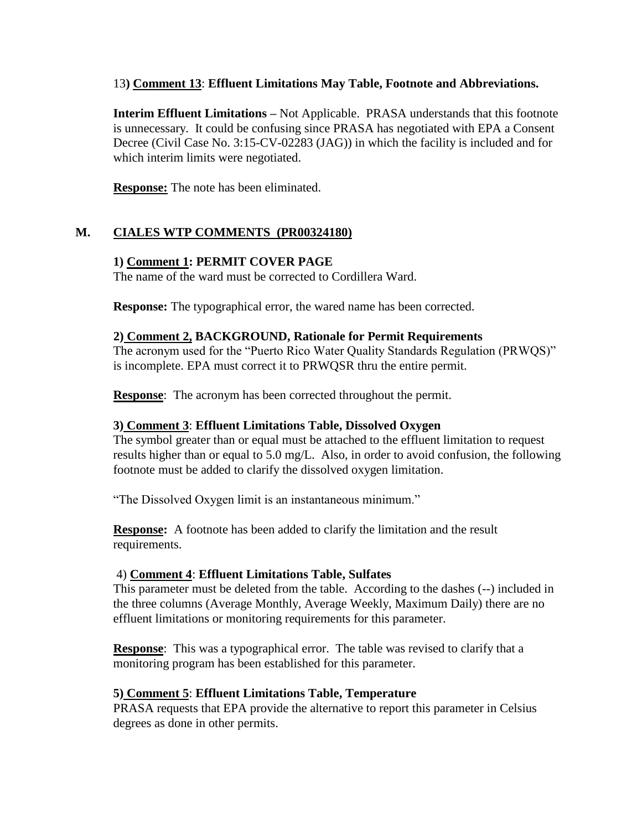### 13**) Comment 13**: **Effluent Limitations May Table, Footnote and Abbreviations.**

**Interim Effluent Limitations –** Not Applicable. PRASA understands that this footnote is unnecessary. It could be confusing since PRASA has negotiated with EPA a Consent Decree (Civil Case No. 3:15-CV-02283 (JAG)) in which the facility is included and for which interim limits were negotiated.

**Response:** The note has been eliminated.

## **M. CIALES WTP COMMENTS (PR00324180)**

### **1) Comment 1: PERMIT COVER PAGE**

The name of the ward must be corrected to Cordillera Ward.

**Response:** The typographical error, the wared name has been corrected.

### **2) Comment 2, BACKGROUND, Rationale for Permit Requirements**

The acronym used for the "Puerto Rico Water Quality Standards Regulation (PRWQS)" is incomplete. EPA must correct it to PRWQSR thru the entire permit.

**Response**: The acronym has been corrected throughout the permit.

### **3) Comment 3**: **Effluent Limitations Table, Dissolved Oxygen**

The symbol greater than or equal must be attached to the effluent limitation to request results higher than or equal to 5.0 mg/L. Also, in order to avoid confusion, the following footnote must be added to clarify the dissolved oxygen limitation.

"The Dissolved Oxygen limit is an instantaneous minimum."

**Response:** A footnote has been added to clarify the limitation and the result requirements.

### 4) **Comment 4**: **Effluent Limitations Table, Sulfates**

This parameter must be deleted from the table. According to the dashes (--) included in the three columns (Average Monthly, Average Weekly, Maximum Daily) there are no effluent limitations or monitoring requirements for this parameter.

**Response:** This was a typographical error. The table was revised to clarify that a monitoring program has been established for this parameter.

### **5) Comment 5**: **Effluent Limitations Table, Temperature**

PRASA requests that EPA provide the alternative to report this parameter in Celsius degrees as done in other permits.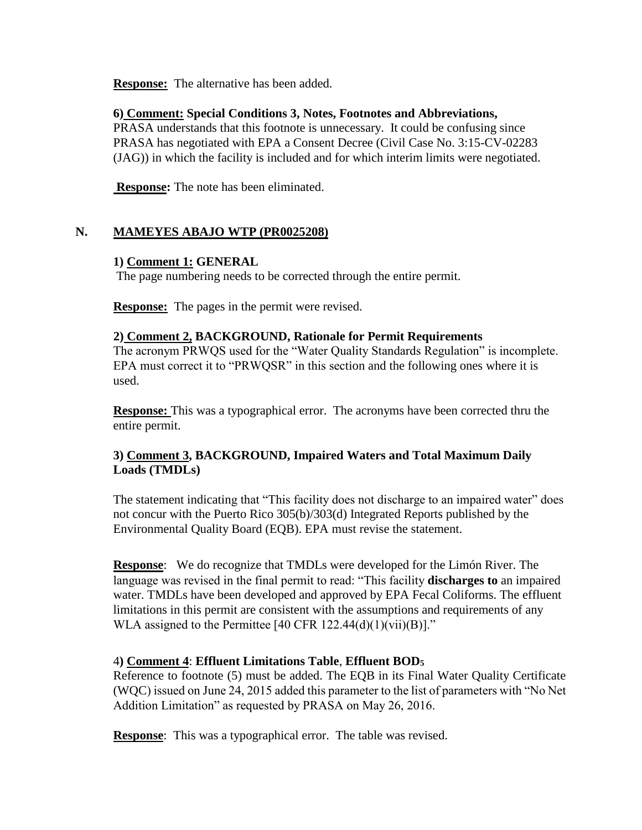**Response:** The alternative has been added.

### **6) Comment: Special Conditions 3, Notes, Footnotes and Abbreviations,**

PRASA understands that this footnote is unnecessary. It could be confusing since PRASA has negotiated with EPA a Consent Decree (Civil Case No. 3:15-CV-02283 (JAG)) in which the facility is included and for which interim limits were negotiated.

**Response:** The note has been eliminated.

## **N. MAMEYES ABAJO WTP (PR0025208)**

### **1) Comment 1: GENERAL**

The page numbering needs to be corrected through the entire permit.

**Response:** The pages in the permit were revised.

### **2) Comment 2, BACKGROUND, Rationale for Permit Requirements**

The acronym PRWQS used for the "Water Quality Standards Regulation" is incomplete. EPA must correct it to "PRWQSR" in this section and the following ones where it is used.

**Response:** This was a typographical error. The acronyms have been corrected thru the entire permit.

## **3) Comment 3, BACKGROUND, Impaired Waters and Total Maximum Daily Loads (TMDLs)**

The statement indicating that "This facility does not discharge to an impaired water" does not concur with the Puerto Rico 305(b)/303(d) Integrated Reports published by the Environmental Quality Board (EQB). EPA must revise the statement.

**Response**: We do recognize that TMDLs were developed for the Limón River. The language was revised in the final permit to read: "This facility **discharges to** an impaired water. TMDLs have been developed and approved by EPA Fecal Coliforms. The effluent limitations in this permit are consistent with the assumptions and requirements of any WLA assigned to the Permittee  $[40 \text{ CFR } 122.44(d)(1)(\text{vii})(B)]$ ."

## 4**) Comment 4**: **Effluent Limitations Table**, **Effluent BOD<sup>5</sup>**

Reference to footnote (5) must be added. The EQB in its Final Water Quality Certificate (WQC) issued on June 24, 2015 added this parameter to the list of parameters with "No Net Addition Limitation" as requested by PRASA on May 26, 2016.

**Response**: This was a typographical error. The table was revised.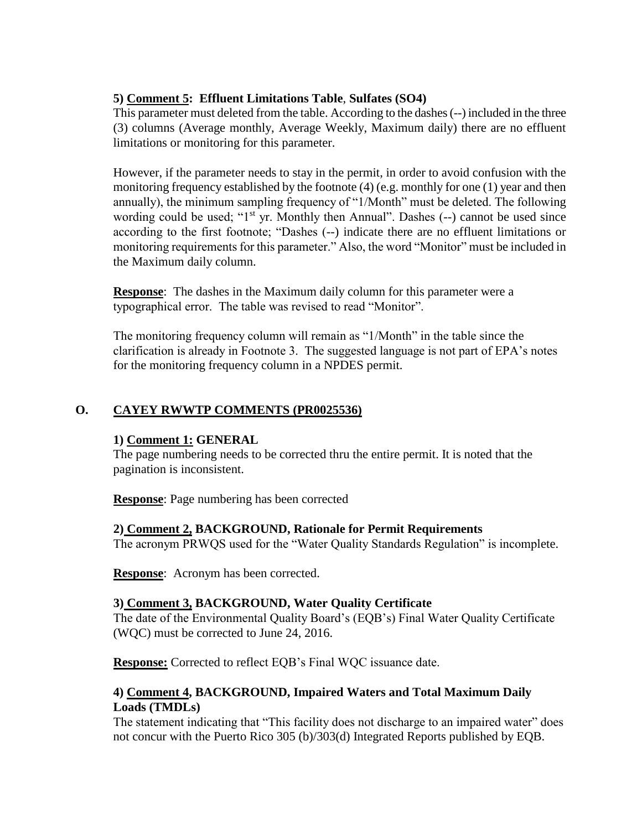## **5) Comment 5: Effluent Limitations Table**, **Sulfates (SO4)**

This parameter must deleted from the table. According to the dashes (--) included in the three (3) columns (Average monthly, Average Weekly, Maximum daily) there are no effluent limitations or monitoring for this parameter.

However, if the parameter needs to stay in the permit, in order to avoid confusion with the monitoring frequency established by the footnote (4) (e.g. monthly for one (1) year and then annually), the minimum sampling frequency of "1/Month" must be deleted. The following wording could be used; " $1<sup>st</sup>$  yr. Monthly then Annual". Dashes  $(-)$  cannot be used since according to the first footnote; "Dashes (--) indicate there are no effluent limitations or monitoring requirements for this parameter." Also, the word "Monitor" must be included in the Maximum daily column.

**Response**: The dashes in the Maximum daily column for this parameter were a typographical error. The table was revised to read "Monitor".

The monitoring frequency column will remain as "1/Month" in the table since the clarification is already in Footnote 3. The suggested language is not part of EPA's notes for the monitoring frequency column in a NPDES permit.

## **O. CAYEY RWWTP COMMENTS (PR0025536)**

### **1) Comment 1: GENERAL**

The page numbering needs to be corrected thru the entire permit. It is noted that the pagination is inconsistent.

**Response**: Page numbering has been corrected

## **2) Comment 2, BACKGROUND, Rationale for Permit Requirements**

The acronym PRWQS used for the "Water Quality Standards Regulation" is incomplete.

**Response**: Acronym has been corrected.

## **3) Comment 3, BACKGROUND, Water Quality Certificate**

The date of the Environmental Quality Board's (EQB's) Final Water Quality Certificate (WQC) must be corrected to June 24, 2016.

**Response:** Corrected to reflect EQB's Final WQC issuance date.

## **4) Comment 4, BACKGROUND, Impaired Waters and Total Maximum Daily Loads (TMDLs)**

The statement indicating that "This facility does not discharge to an impaired water" does not concur with the Puerto Rico 305 (b)/303(d) Integrated Reports published by EQB.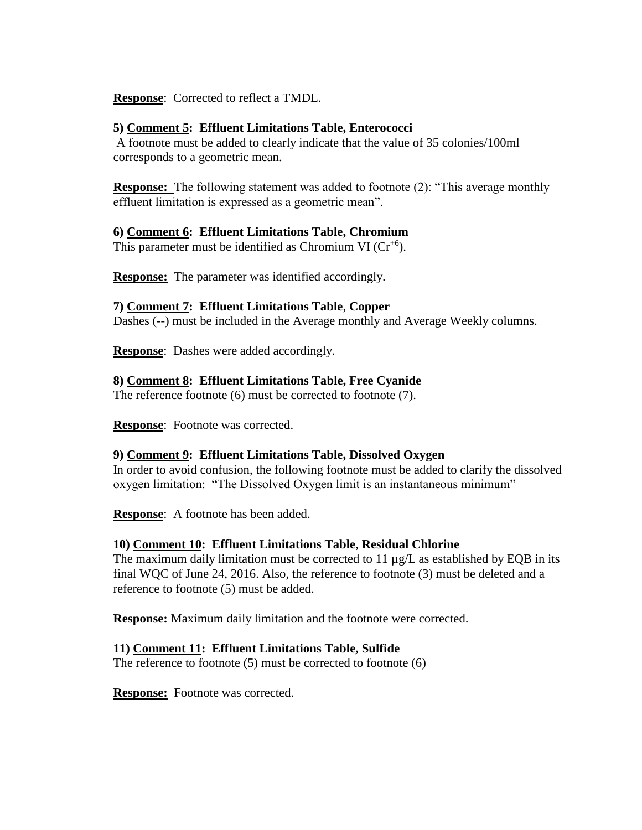**Response**: Corrected to reflect a TMDL.

### **5) Comment 5: Effluent Limitations Table, Enterococci**

A footnote must be added to clearly indicate that the value of 35 colonies/100ml corresponds to a geometric mean.

**Response:**The following statement was added to footnote (2): "This average monthly effluent limitation is expressed as a geometric mean".

### **6) Comment 6: Effluent Limitations Table, Chromium**

This parameter must be identified as Chromium VI ( $Cr^{+6}$ ).

**Response:** The parameter was identified accordingly.

### **7) Comment 7: Effluent Limitations Table**, **Copper**

Dashes (--) must be included in the Average monthly and Average Weekly columns.

**Response**: Dashes were added accordingly.

### **8) Comment 8: Effluent Limitations Table, Free Cyanide**

The reference footnote (6) must be corrected to footnote (7).

**Response**: Footnote was corrected.

## **9) Comment 9: Effluent Limitations Table, Dissolved Oxygen**

In order to avoid confusion, the following footnote must be added to clarify the dissolved oxygen limitation: "The Dissolved Oxygen limit is an instantaneous minimum"

**Response**: A footnote has been added.

## **10) Comment 10: Effluent Limitations Table**, **Residual Chlorine**

The maximum daily limitation must be corrected to  $11 \mu g/L$  as established by EQB in its final WQC of June 24, 2016. Also, the reference to footnote (3) must be deleted and a reference to footnote (5) must be added.

**Response:** Maximum daily limitation and the footnote were corrected.

## **11) Comment 11: Effluent Limitations Table, Sulfide**

The reference to footnote (5) must be corrected to footnote (6)

**Response:** Footnote was corrected.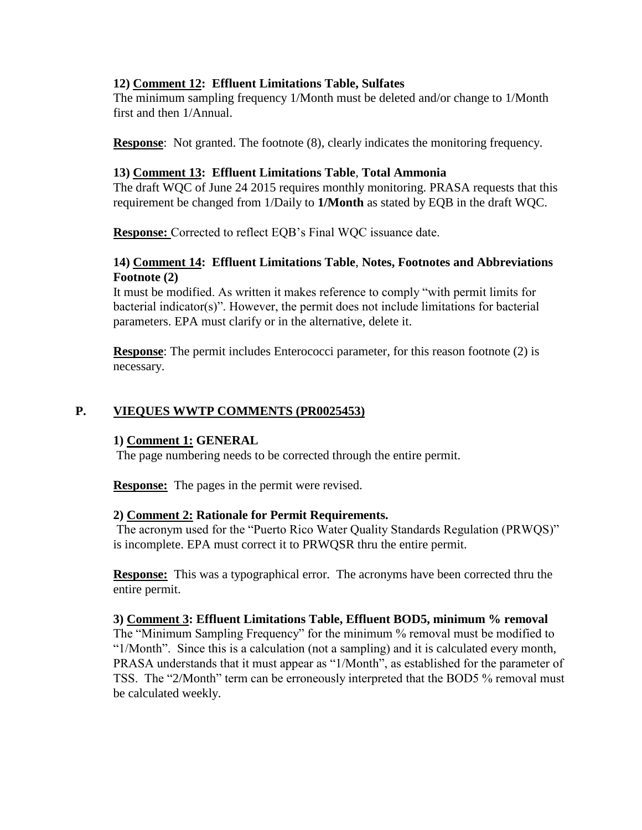### **12) Comment 12: Effluent Limitations Table, Sulfates**

The minimum sampling frequency 1/Month must be deleted and/or change to 1/Month first and then 1/Annual.

**Response**: Not granted. The footnote (8), clearly indicates the monitoring frequency.

### **13) Comment 13: Effluent Limitations Table**, **Total Ammonia**

The draft WQC of June 24 2015 requires monthly monitoring. PRASA requests that this requirement be changed from 1/Daily to **1/Month** as stated by EQB in the draft WQC.

**Response:** Corrected to reflect EQB's Final WQC issuance date.

## **14) Comment 14: Effluent Limitations Table**, **Notes, Footnotes and Abbreviations Footnote (2)**

It must be modified. As written it makes reference to comply "with permit limits for bacterial indicator(s)". However, the permit does not include limitations for bacterial parameters. EPA must clarify or in the alternative, delete it.

**Response**: The permit includes Enterococci parameter, for this reason footnote (2) is necessary.

## **P. VIEQUES WWTP COMMENTS (PR0025453)**

### **1) Comment 1: GENERAL**

The page numbering needs to be corrected through the entire permit.

**Response:** The pages in the permit were revised.

### **2) Comment 2: Rationale for Permit Requirements.**

The acronym used for the "Puerto Rico Water Quality Standards Regulation (PRWQS)" is incomplete. EPA must correct it to PRWQSR thru the entire permit.

**Response:** This was a typographical error. The acronyms have been corrected thru the entire permit.

**3) Comment 3: Effluent Limitations Table, Effluent BOD5, minimum % removal**

The "Minimum Sampling Frequency" for the minimum % removal must be modified to "1/Month". Since this is a calculation (not a sampling) and it is calculated every month, PRASA understands that it must appear as "1/Month", as established for the parameter of TSS. The "2/Month" term can be erroneously interpreted that the BOD5 % removal must be calculated weekly.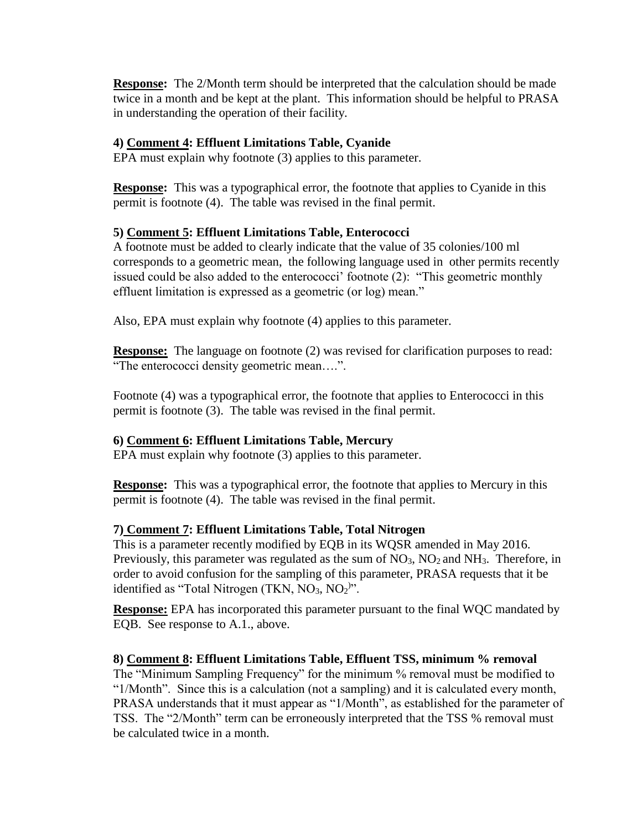**Response:** The 2/Month term should be interpreted that the calculation should be made twice in a month and be kept at the plant. This information should be helpful to PRASA in understanding the operation of their facility.

## **4) Comment 4: Effluent Limitations Table, Cyanide**

EPA must explain why footnote (3) applies to this parameter.

**Response:** This was a typographical error, the footnote that applies to Cyanide in this permit is footnote (4). The table was revised in the final permit.

## **5) Comment 5: Effluent Limitations Table, Enterococci**

A footnote must be added to clearly indicate that the value of 35 colonies/100 ml corresponds to a geometric mean, the following language used in other permits recently issued could be also added to the enterococci' footnote (2): "This geometric monthly effluent limitation is expressed as a geometric (or log) mean."

Also, EPA must explain why footnote (4) applies to this parameter.

**Response:** The language on footnote (2) was revised for clarification purposes to read: "The enterococci density geometric mean….".

Footnote (4) was a typographical error, the footnote that applies to Enterococci in this permit is footnote (3). The table was revised in the final permit.

## **6) Comment 6: Effluent Limitations Table, Mercury**

EPA must explain why footnote (3) applies to this parameter.

**Response:** This was a typographical error, the footnote that applies to Mercury in this permit is footnote (4). The table was revised in the final permit.

## **7) Comment 7: Effluent Limitations Table, Total Nitrogen**

This is a parameter recently modified by EQB in its WQSR amended in May 2016. Previously, this parameter was regulated as the sum of  $NO<sub>3</sub>$ ,  $NO<sub>2</sub>$  and  $NH<sub>3</sub>$ . Therefore, in order to avoid confusion for the sampling of this parameter, PRASA requests that it be identified as "Total Nitrogen (TKN,  $NO<sub>3</sub>$ ,  $NO<sub>2</sub>$ )".

**Response:** EPA has incorporated this parameter pursuant to the final WQC mandated by EQB. See response to A.1., above.

## **8) Comment 8: Effluent Limitations Table, Effluent TSS, minimum % removal**

The "Minimum Sampling Frequency" for the minimum % removal must be modified to "1/Month". Since this is a calculation (not a sampling) and it is calculated every month, PRASA understands that it must appear as "1/Month", as established for the parameter of TSS. The "2/Month" term can be erroneously interpreted that the TSS % removal must be calculated twice in a month.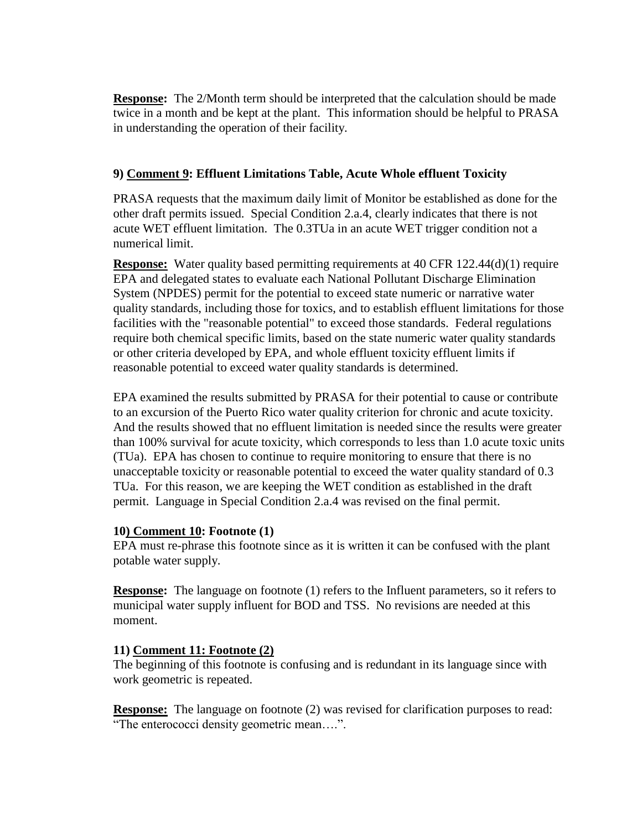**Response:** The 2/Month term should be interpreted that the calculation should be made twice in a month and be kept at the plant. This information should be helpful to PRASA in understanding the operation of their facility.

### **9) Comment 9: Effluent Limitations Table, Acute Whole effluent Toxicity**

PRASA requests that the maximum daily limit of Monitor be established as done for the other draft permits issued. Special Condition 2.a.4, clearly indicates that there is not acute WET effluent limitation. The 0.3TUa in an acute WET trigger condition not a numerical limit.

**Response:** Water quality based permitting requirements at 40 CFR 122.44(d)(1) require EPA and delegated states to evaluate each National Pollutant Discharge Elimination System (NPDES) permit for the potential to exceed state numeric or narrative water quality standards, including those for toxics, and to establish effluent limitations for those facilities with the "reasonable potential" to exceed those standards. Federal regulations require both chemical specific limits, based on the state numeric water quality standards or other criteria developed by EPA, and whole effluent toxicity effluent limits if reasonable potential to exceed water quality standards is determined.

EPA examined the results submitted by PRASA for their potential to cause or contribute to an excursion of the Puerto Rico water quality criterion for chronic and acute toxicity. And the results showed that no effluent limitation is needed since the results were greater than 100% survival for acute toxicity, which corresponds to less than 1.0 acute toxic units (TUa). EPA has chosen to continue to require monitoring to ensure that there is no unacceptable toxicity or reasonable potential to exceed the water quality standard of 0.3 TUa. For this reason, we are keeping the WET condition as established in the draft permit. Language in Special Condition 2.a.4 was revised on the final permit.

### **10) Comment 10: Footnote (1)**

EPA must re-phrase this footnote since as it is written it can be confused with the plant potable water supply.

**Response:** The language on footnote (1) refers to the Influent parameters, so it refers to municipal water supply influent for BOD and TSS. No revisions are needed at this moment.

### **11) Comment 11: Footnote (2)**

The beginning of this footnote is confusing and is redundant in its language since with work geometric is repeated.

**Response:** The language on footnote (2) was revised for clarification purposes to read: "The enterococci density geometric mean….".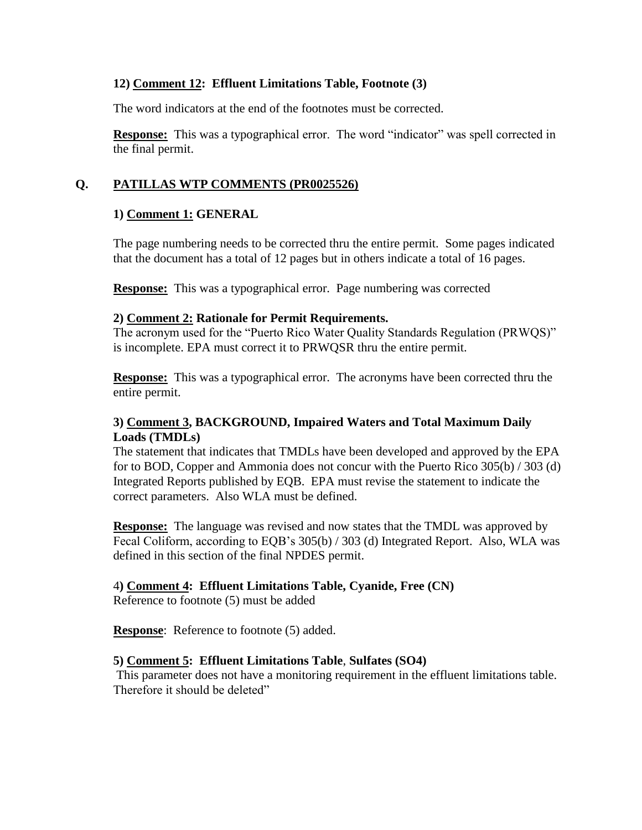## **12) Comment 12: Effluent Limitations Table, Footnote (3)**

The word indicators at the end of the footnotes must be corrected.

**Response:** This was a typographical error. The word "indicator" was spell corrected in the final permit.

## **Q. PATILLAS WTP COMMENTS (PR0025526)**

## **1) Comment 1: GENERAL**

The page numbering needs to be corrected thru the entire permit. Some pages indicated that the document has a total of 12 pages but in others indicate a total of 16 pages.

**Response:** This was a typographical error. Page numbering was corrected

## **2) Comment 2: Rationale for Permit Requirements.**

The acronym used for the "Puerto Rico Water Quality Standards Regulation (PRWQS)" is incomplete. EPA must correct it to PRWQSR thru the entire permit.

**Response:** This was a typographical error. The acronyms have been corrected thru the entire permit.

## **3) Comment 3, BACKGROUND, Impaired Waters and Total Maximum Daily Loads (TMDLs)**

The statement that indicates that TMDLs have been developed and approved by the EPA for to BOD, Copper and Ammonia does not concur with the Puerto Rico 305(b) / 303 (d) Integrated Reports published by EQB. EPA must revise the statement to indicate the correct parameters. Also WLA must be defined.

**Response:** The language was revised and now states that the TMDL was approved by Fecal Coliform, according to EQB's 305(b) / 303 (d) Integrated Report. Also, WLA was defined in this section of the final NPDES permit.

## 4**) Comment 4: Effluent Limitations Table, Cyanide, Free (CN)**

Reference to footnote (5) must be added

**Response**: Reference to footnote (5) added.

## **5) Comment 5: Effluent Limitations Table**, **Sulfates (SO4)**

This parameter does not have a monitoring requirement in the effluent limitations table. Therefore it should be deleted"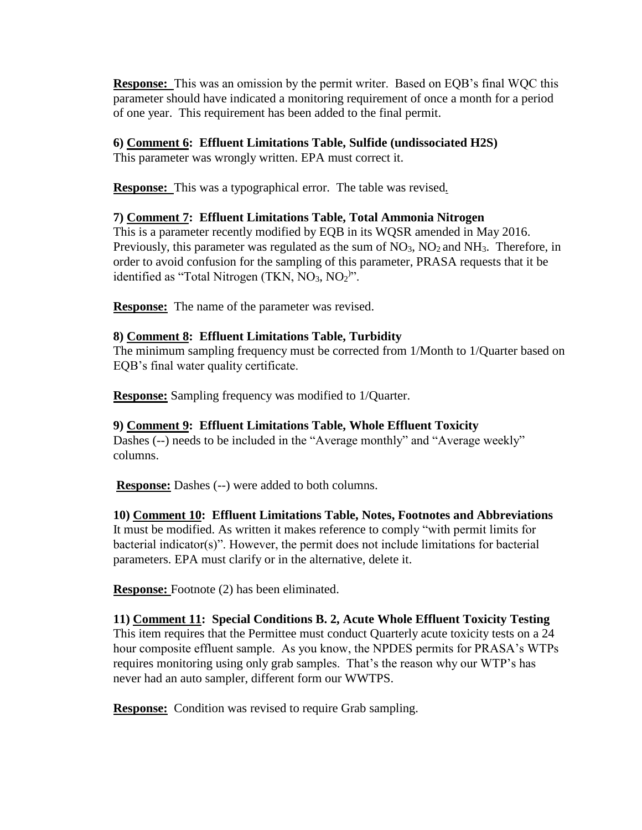**Response:**This was an omission by the permit writer. Based on EQB's final WQC this parameter should have indicated a monitoring requirement of once a month for a period of one year. This requirement has been added to the final permit.

## **6) Comment 6: Effluent Limitations Table, Sulfide (undissociated H2S)**

This parameter was wrongly written. EPA must correct it.

**Response:**This was a typographical error. The table was revised*.*

## **7) Comment 7: Effluent Limitations Table, Total Ammonia Nitrogen**

This is a parameter recently modified by EQB in its WQSR amended in May 2016. Previously, this parameter was regulated as the sum of  $NO<sub>3</sub>$ ,  $NO<sub>2</sub>$  and  $NH<sub>3</sub>$ . Therefore, in order to avoid confusion for the sampling of this parameter, PRASA requests that it be identified as "Total Nitrogen (TKN,  $NO<sub>3</sub>$ ,  $NO<sub>2</sub>$ )".

**Response:** The name of the parameter was revised.

## **8) Comment 8: Effluent Limitations Table, Turbidity**

The minimum sampling frequency must be corrected from 1/Month to 1/Quarter based on EQB's final water quality certificate.

**Response:** Sampling frequency was modified to 1/Quarter.

## **9) Comment 9: Effluent Limitations Table, Whole Effluent Toxicity**

Dashes (--) needs to be included in the "Average monthly" and "Average weekly" columns.

**Response:** Dashes (--) were added to both columns.

## **10) Comment 10: Effluent Limitations Table, Notes, Footnotes and Abbreviations**

It must be modified. As written it makes reference to comply "with permit limits for bacterial indicator(s)". However, the permit does not include limitations for bacterial parameters. EPA must clarify or in the alternative, delete it.

**Response:** Footnote (2) has been eliminated.

**11) Comment 11: Special Conditions B. 2, Acute Whole Effluent Toxicity Testing** This item requires that the Permittee must conduct Quarterly acute toxicity tests on a 24 hour composite effluent sample. As you know, the NPDES permits for PRASA's WTPs requires monitoring using only grab samples. That's the reason why our WTP's has never had an auto sampler, different form our WWTPS.

**Response:** Condition was revised to require Grab sampling.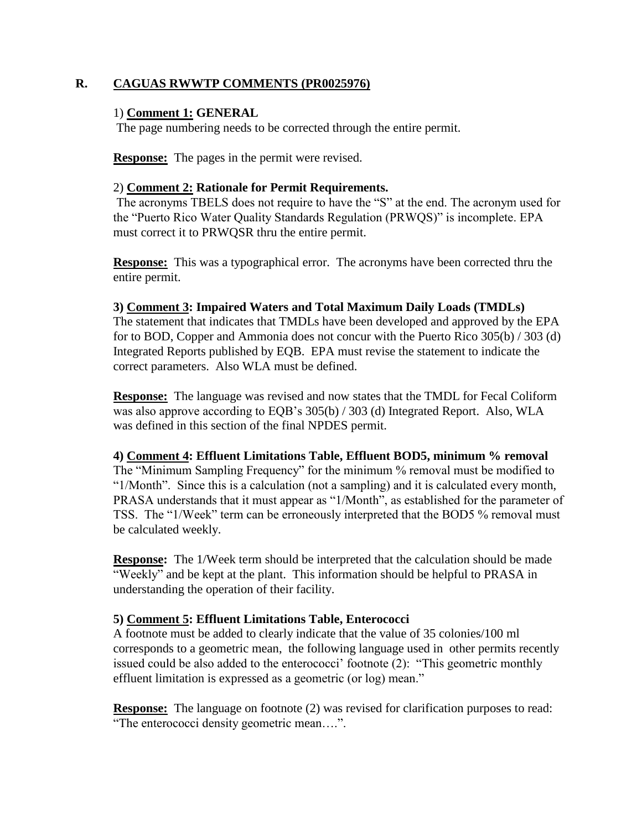### **R. CAGUAS RWWTP COMMENTS (PR0025976)**

### 1) **Comment 1: GENERAL**

The page numbering needs to be corrected through the entire permit.

**Response:** The pages in the permit were revised.

### 2) **Comment 2: Rationale for Permit Requirements.**

The acronyms TBELS does not require to have the "S" at the end. The acronym used for the "Puerto Rico Water Quality Standards Regulation (PRWQS)" is incomplete. EPA must correct it to PRWQSR thru the entire permit.

**Response:** This was a typographical error. The acronyms have been corrected thru the entire permit.

### **3) Comment 3: Impaired Waters and Total Maximum Daily Loads (TMDLs)**

The statement that indicates that TMDLs have been developed and approved by the EPA for to BOD, Copper and Ammonia does not concur with the Puerto Rico 305(b) / 303 (d) Integrated Reports published by EQB. EPA must revise the statement to indicate the correct parameters. Also WLA must be defined.

**Response:** The language was revised and now states that the TMDL for Fecal Coliform was also approve according to EQB's 305(b) / 303 (d) Integrated Report. Also, WLA was defined in this section of the final NPDES permit.

### **4) Comment 4: Effluent Limitations Table, Effluent BOD5, minimum % removal**

The "Minimum Sampling Frequency" for the minimum % removal must be modified to "1/Month". Since this is a calculation (not a sampling) and it is calculated every month, PRASA understands that it must appear as "1/Month", as established for the parameter of TSS. The "1/Week" term can be erroneously interpreted that the BOD5 % removal must be calculated weekly.

**Response:** The 1/Week term should be interpreted that the calculation should be made "Weekly" and be kept at the plant. This information should be helpful to PRASA in understanding the operation of their facility.

## **5) Comment 5: Effluent Limitations Table, Enterococci**

A footnote must be added to clearly indicate that the value of 35 colonies/100 ml corresponds to a geometric mean, the following language used in other permits recently issued could be also added to the enterococci' footnote (2): "This geometric monthly effluent limitation is expressed as a geometric (or log) mean."

**Response:** The language on footnote (2) was revised for clarification purposes to read: "The enterococci density geometric mean….".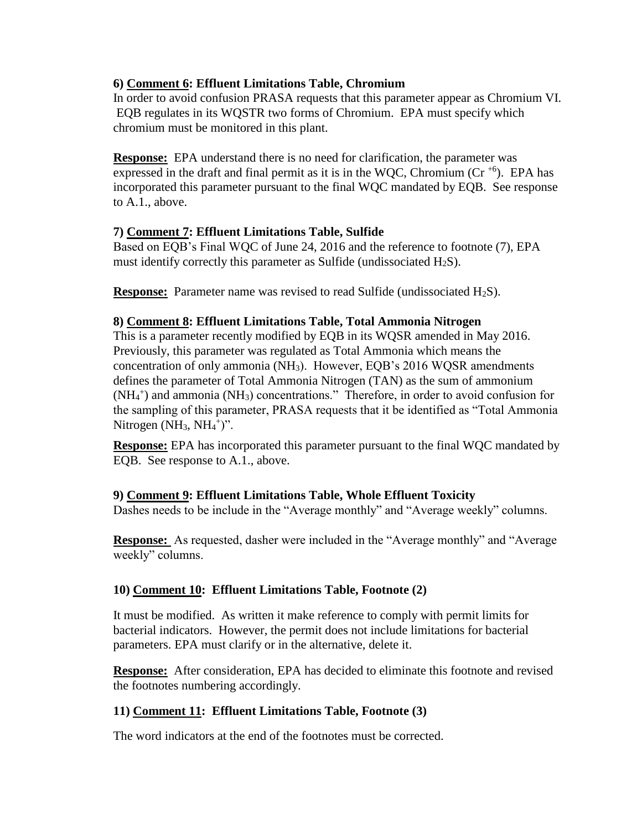## **6) Comment 6: Effluent Limitations Table, Chromium**

In order to avoid confusion PRASA requests that this parameter appear as Chromium VI. EQB regulates in its WQSTR two forms of Chromium. EPA must specify which chromium must be monitored in this plant.

**Response:** EPA understand there is no need for clarification, the parameter was expressed in the draft and final permit as it is in the WQC, Chromium ( $Cr^{+6}$ ). EPA has incorporated this parameter pursuant to the final WQC mandated by EQB. See response to A.1., above.

### **7) Comment 7: Effluent Limitations Table, Sulfide**

Based on EQB's Final WQC of June 24, 2016 and the reference to footnote (7), EPA must identify correctly this parameter as Sulfide (undissociated  $H_2S$ ).

**Response:** Parameter name was revised to read Sulfide (undissociated H<sub>2</sub>S).

### **8) Comment 8: Effluent Limitations Table, Total Ammonia Nitrogen**

This is a parameter recently modified by EQB in its WQSR amended in May 2016. Previously, this parameter was regulated as Total Ammonia which means the concentration of only ammonia (NH3). However, EQB's 2016 WQSR amendments defines the parameter of Total Ammonia Nitrogen (TAN) as the sum of ammonium  $(NH<sub>4</sub><sup>+</sup>)$  and ammonia  $(NH<sub>3</sub>)$  concentrations." Therefore, in order to avoid confusion for the sampling of this parameter, PRASA requests that it be identified as "Total Ammonia Nitrogen  $(NH_3, NH_4^+)$ ".

**Response:** EPA has incorporated this parameter pursuant to the final WQC mandated by EQB. See response to A.1., above.

## **9) Comment 9: Effluent Limitations Table, Whole Effluent Toxicity**

Dashes needs to be include in the "Average monthly" and "Average weekly" columns.

**Response:** As requested, dasher were included in the "Average monthly" and "Average weekly" columns.

## **10) Comment 10: Effluent Limitations Table, Footnote (2)**

It must be modified. As written it make reference to comply with permit limits for bacterial indicators. However, the permit does not include limitations for bacterial parameters. EPA must clarify or in the alternative, delete it.

**Response:** After consideration, EPA has decided to eliminate this footnote and revised the footnotes numbering accordingly.

## **11) Comment 11: Effluent Limitations Table, Footnote (3)**

The word indicators at the end of the footnotes must be corrected.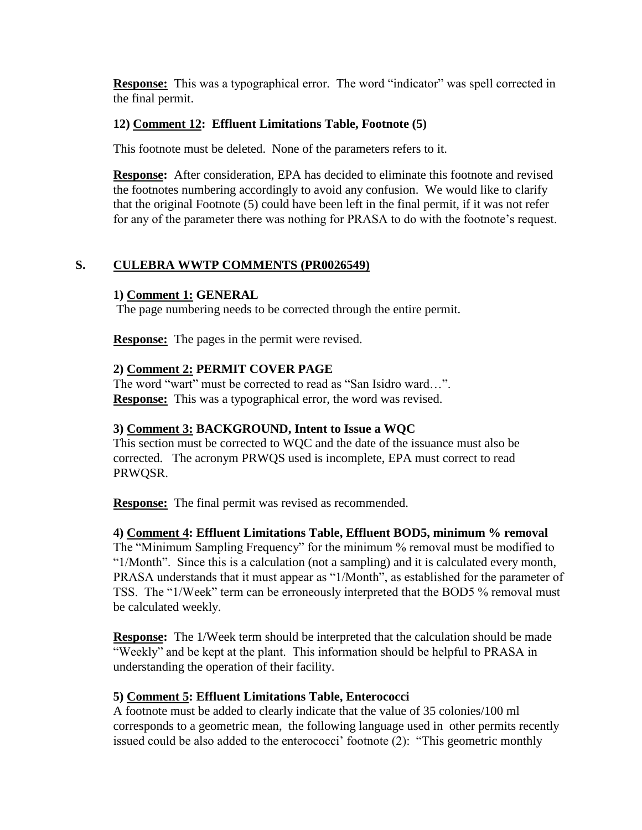**Response:** This was a typographical error. The word "indicator" was spell corrected in the final permit.

## **12) Comment 12: Effluent Limitations Table, Footnote (5)**

This footnote must be deleted. None of the parameters refers to it.

**Response:** After consideration, EPA has decided to eliminate this footnote and revised the footnotes numbering accordingly to avoid any confusion. We would like to clarify that the original Footnote (5) could have been left in the final permit, if it was not refer for any of the parameter there was nothing for PRASA to do with the footnote's request.

## **S. CULEBRA WWTP COMMENTS (PR0026549)**

## **1) Comment 1: GENERAL**

The page numbering needs to be corrected through the entire permit.

**Response:** The pages in the permit were revised.

## **2) Comment 2: PERMIT COVER PAGE**

The word "wart" must be corrected to read as "San Isidro ward…". **Response:** This was a typographical error, the word was revised.

## **3) Comment 3: BACKGROUND, Intent to Issue a WQC**

This section must be corrected to WQC and the date of the issuance must also be corrected. The acronym PRWQS used is incomplete, EPA must correct to read PRWQSR.

**Response:** The final permit was revised as recommended.

## **4) Comment 4: Effluent Limitations Table, Effluent BOD5, minimum % removal**

The "Minimum Sampling Frequency" for the minimum % removal must be modified to "1/Month". Since this is a calculation (not a sampling) and it is calculated every month, PRASA understands that it must appear as "1/Month", as established for the parameter of TSS. The "1/Week" term can be erroneously interpreted that the BOD5 % removal must be calculated weekly.

**Response:** The 1/Week term should be interpreted that the calculation should be made "Weekly" and be kept at the plant. This information should be helpful to PRASA in understanding the operation of their facility.

## **5) Comment 5: Effluent Limitations Table, Enterococci**

A footnote must be added to clearly indicate that the value of 35 colonies/100 ml corresponds to a geometric mean, the following language used in other permits recently issued could be also added to the enterococci' footnote (2): "This geometric monthly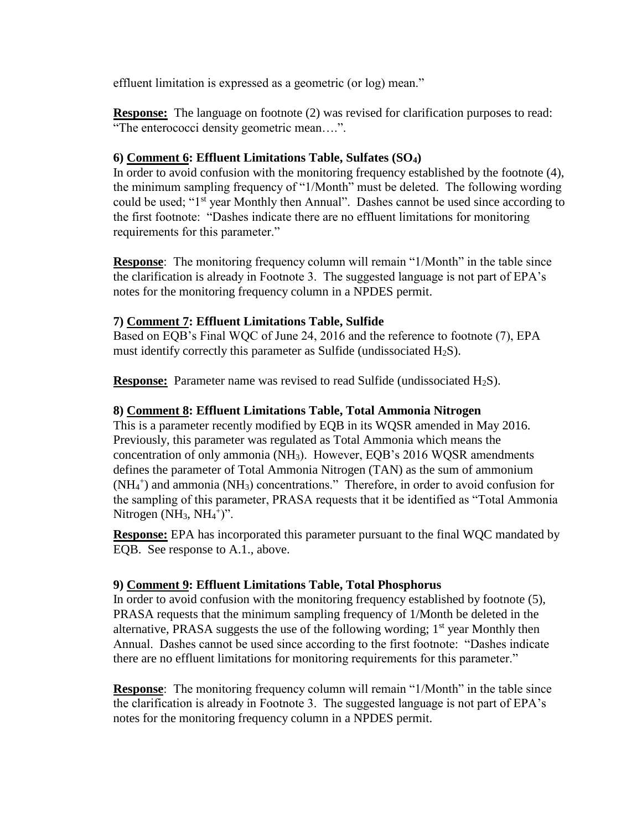effluent limitation is expressed as a geometric (or log) mean."

**Response:** The language on footnote (2) was revised for clarification purposes to read: "The enterococci density geometric mean….".

## **6) Comment 6: Effluent Limitations Table, Sulfates (SO4)**

In order to avoid confusion with the monitoring frequency established by the footnote (4), the minimum sampling frequency of "1/Month" must be deleted. The following wording could be used; "1<sup>st</sup> year Monthly then Annual". Dashes cannot be used since according to the first footnote: "Dashes indicate there are no effluent limitations for monitoring requirements for this parameter."

**Response**: The monitoring frequency column will remain "1/Month" in the table since the clarification is already in Footnote 3. The suggested language is not part of EPA's notes for the monitoring frequency column in a NPDES permit.

## **7) Comment 7: Effluent Limitations Table, Sulfide**

Based on EQB's Final WQC of June 24, 2016 and the reference to footnote (7), EPA must identify correctly this parameter as Sulfide (undissociated  $H_2S$ ).

**Response:** Parameter name was revised to read Sulfide (undissociated H<sub>2</sub>S).

## **8) Comment 8: Effluent Limitations Table, Total Ammonia Nitrogen**

This is a parameter recently modified by EQB in its WQSR amended in May 2016. Previously, this parameter was regulated as Total Ammonia which means the concentration of only ammonia (NH3). However, EQB's 2016 WQSR amendments defines the parameter of Total Ammonia Nitrogen (TAN) as the sum of ammonium (NH<sub>4</sub><sup>+</sup>) and ammonia (NH<sub>3</sub>) concentrations." Therefore, in order to avoid confusion for the sampling of this parameter, PRASA requests that it be identified as "Total Ammonia Nitrogen  $(NH_3, NH_4^+)$ ".

**Response:** EPA has incorporated this parameter pursuant to the final WQC mandated by EQB. See response to A.1., above.

## **9) Comment 9: Effluent Limitations Table, Total Phosphorus**

In order to avoid confusion with the monitoring frequency established by footnote (5), PRASA requests that the minimum sampling frequency of 1/Month be deleted in the alternative, PRASA suggests the use of the following wording;  $1<sup>st</sup>$  year Monthly then Annual. Dashes cannot be used since according to the first footnote: "Dashes indicate there are no effluent limitations for monitoring requirements for this parameter."

**Response**: The monitoring frequency column will remain "1/Month" in the table since the clarification is already in Footnote 3. The suggested language is not part of EPA's notes for the monitoring frequency column in a NPDES permit.